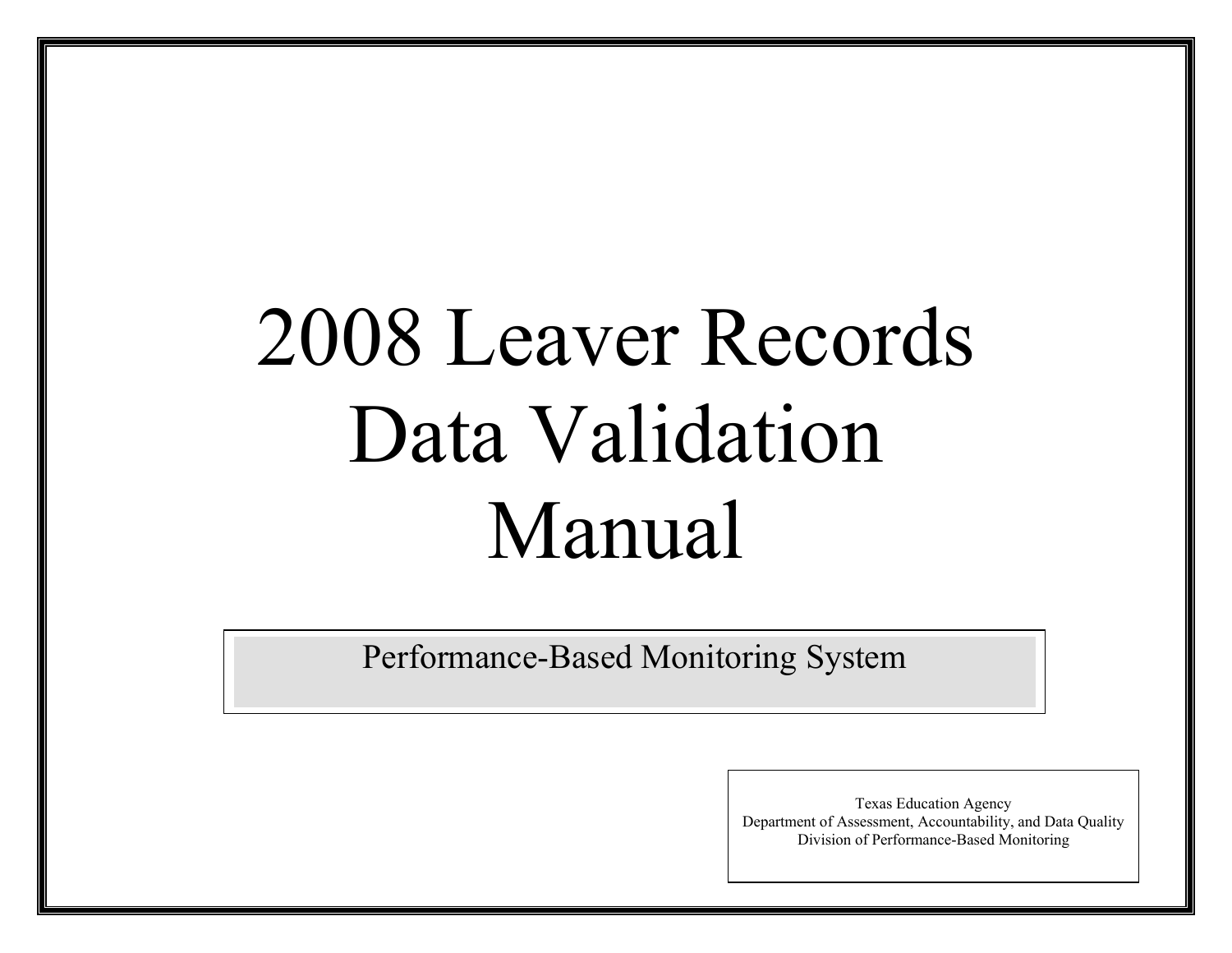# 2008 Leaver Records Data Validation Manual

Performance-Based Monitoring System

Texas Education Agency Department of Assessment, Accountability, and Data Quality Division of Performance-Based Monitoring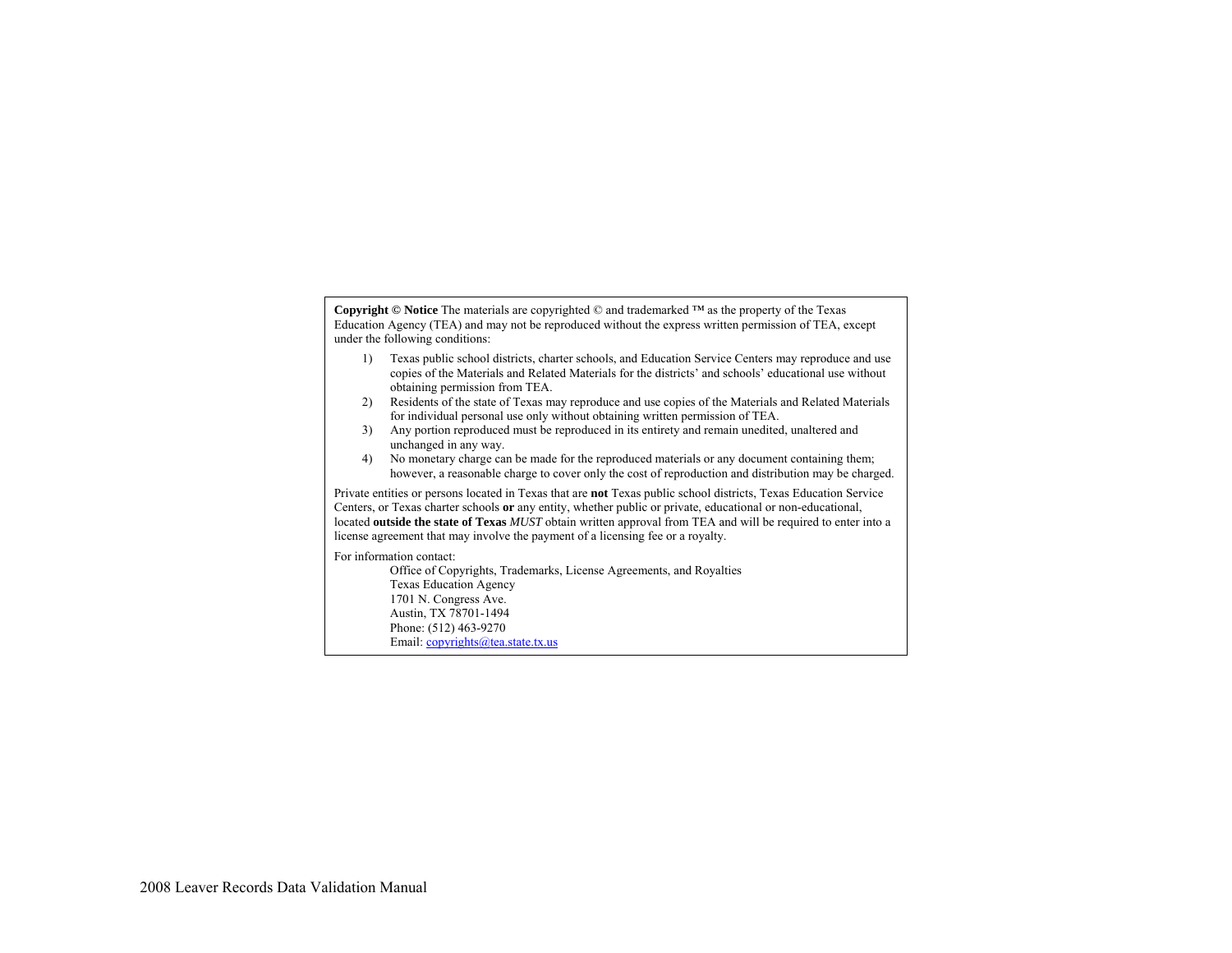**Copyright © Notice** The materials are copyrighted © and trademarked ™ as the property of the Texas Education Agency (TEA) and may not be reproduced without the express written permission of TEA, except under the following conditions:

- 1) Texas public school districts, charter schools, and Education Service Centers may reproduce and use copies of the Materials and Related Materials for the districts' and schools' educational use without obtaining permission from TEA.
- 2) Residents of the state of Texas may reproduce and use copies of the Materials and Related Materials for individual personal use only without obtaining written permission of TEA.
- 3) Any portion reproduced must be reproduced in its entirety and remain unedited, unaltered and unchanged in any way.
- 4) No monetary charge can be made for the reproduced materials or any document containing them; however, a reasonable charge to cover only the cost of reproduction and distribution may be charged.

Private entities or persons located in Texas that are **not** Texas public school districts, Texas Education Service Centers, or Texas charter schools **or** any entity, whether public or private, educational or non-educational, located **outside the state of Texas** *MUST* obtain written approval from TEA and will be required to enter into a license agreement that may involve the payment of a licensing fee or a royalty.

For information contact:

 Office of Copyrights, Trademarks, License Agreements, and Royalties Texas Education Agency 1701 N. Congress Ave. Austin, TX 78701-1494 Phone: (512) 463-9270 Email: [copyrights@tea.state.tx.us](mailto:copyrights@tea.state.tx.us)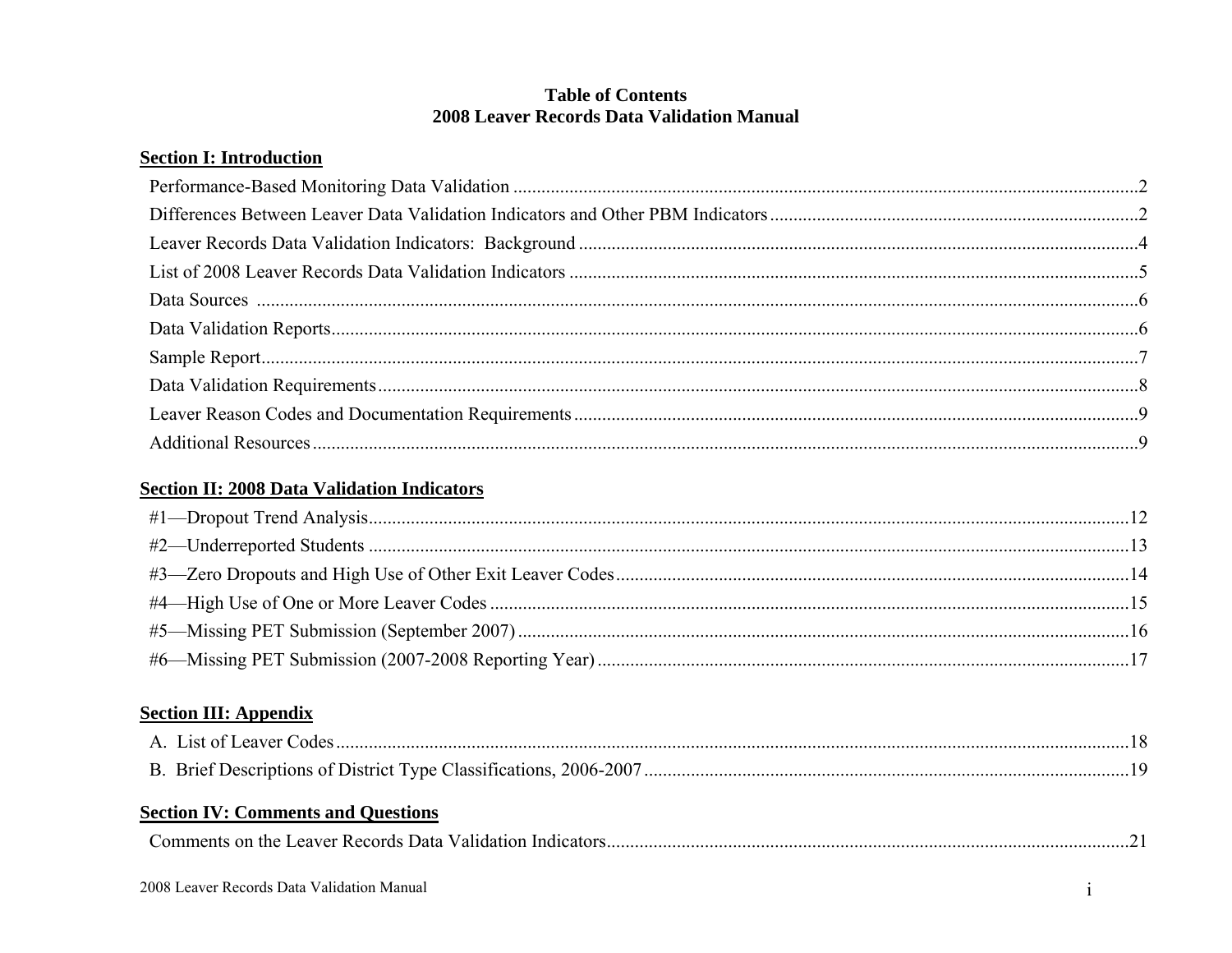#### **Table of Contents** 2008 Leaver Records Data Validation Manual

#### **Section I: Introduction**

### **Section II: 2008 Data Validation Indicators**

## **Section III: Appendix**

| A. List of Leaver Codes.                                           |  |
|--------------------------------------------------------------------|--|
| B. Brief Descriptions of District Type Classifications, 2006-2007. |  |

### **Section IV: Comments and Questions**

| Comments on the Leaver Records Data Validation Indicators. |  |
|------------------------------------------------------------|--|
|------------------------------------------------------------|--|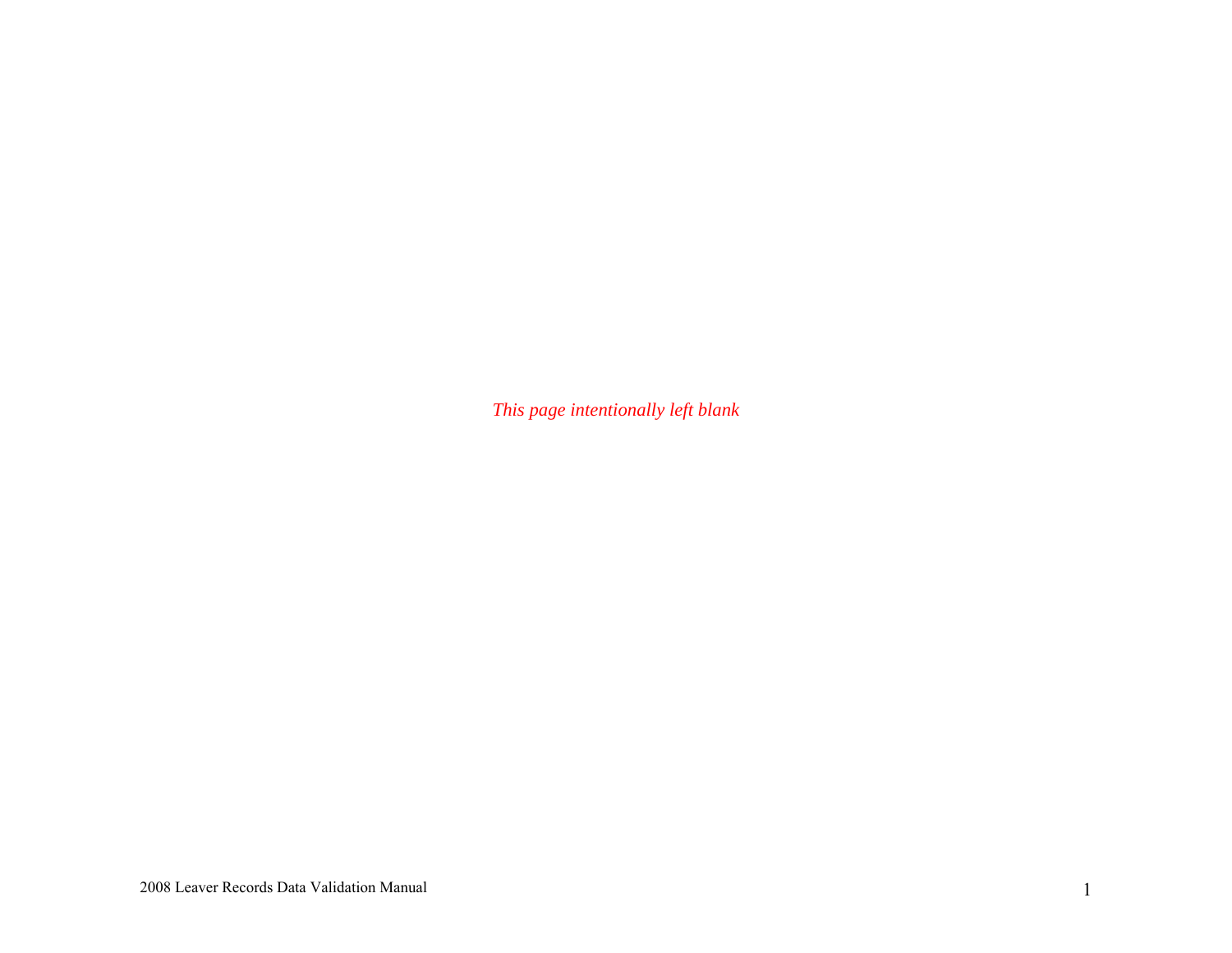*This page intentionally left blank*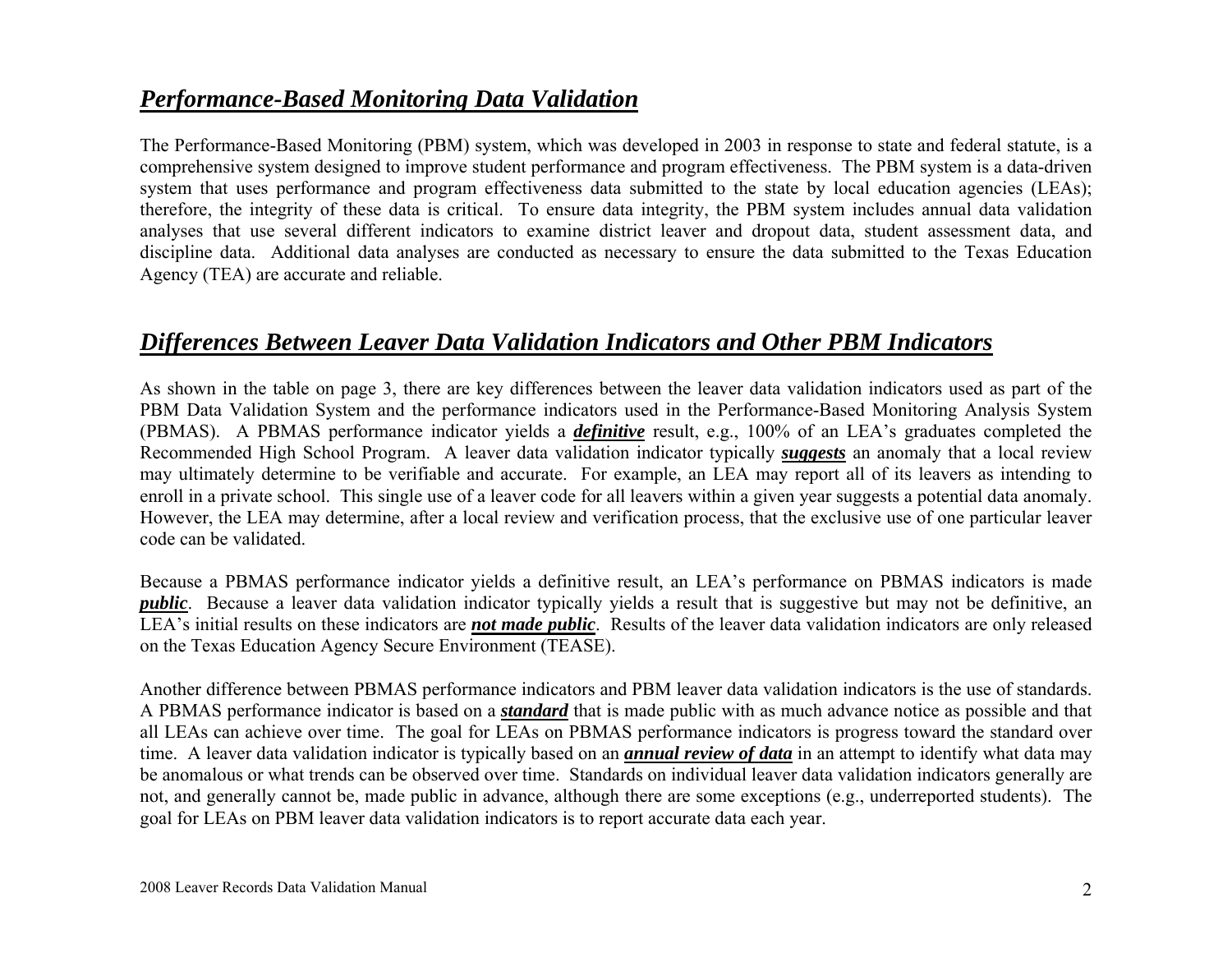# *Performance-Based Monitoring Data Validation*

The Performance-Based Monitoring (PBM) system, which was developed in 2003 in response to state and federal statute, is a comprehensive system designed to improve student performance and program effectiveness. The PBM system is a data-driven system that uses performance and program effectiveness data submitted to the state by local education agencies (LEAs); therefore, the integrity of these data is critical. To ensure data integrity, the PBM system includes annual data validation analyses that use several different indicators to examine district leaver and dropout data, student assessment data, and discipline data. Additional data analyses are conducted as necessary to ensure the data submitted to the Texas Education Agency (TEA) are accurate and reliable.

# *Differences Between Leaver Data Validation Indicators and Other PBM Indicators*

As shown in the table on page 3, there are key differences between the leaver data validation indicators used as part of the PBM Data Validation System and the performance indicators used in the Performance-Based Monitoring Analysis System (PBMAS). A PBMAS performance indicator yields a *definitive* result, e.g., 100% of an LEA's graduates completed the Recommended High School Program. A leaver data validation indicator typically *suggests* an anomaly that a local review may ultimately determine to be verifiable and accurate. For example, an LEA may report all of its leavers as intending to enroll in a private school. This single use of a leaver code for all leavers within a given year suggests a potential data anomaly. However, the LEA may determine, after a local review and verification process, that the exclusive use of one particular leaver code can be validated.

Because a PBMAS performance indicator yields a definitive result, an LEA's performance on PBMAS indicators is made *public*. Because a leaver data validation indicator typically yields a result that is suggestive but may not be definitive, an LEA's initial results on these indicators are *not made public*. Results of the leaver data validation indicators are only released on the Texas Education Agency Secure Environment (TEASE).

Another difference between PBMAS performance indicators and PBM leaver data validation indicators is the use of standards. A PBMAS performance indicator is based on a *standard* that is made public with as much advance notice as possible and that all LEAs can achieve over time. The goal for LEAs on PBMAS performance indicators is progress toward the standard over time. A leaver data validation indicator is typically based on an *annual review of data* in an attempt to identify what data may be anomalous or what trends can be observed over time. Standards on individual leaver data validation indicators generally are not, and generally cannot be, made public in advance, although there are some exceptions (e.g., underreported students). The goal for LEAs on PBM leaver data validation indicators is to report accurate data each year.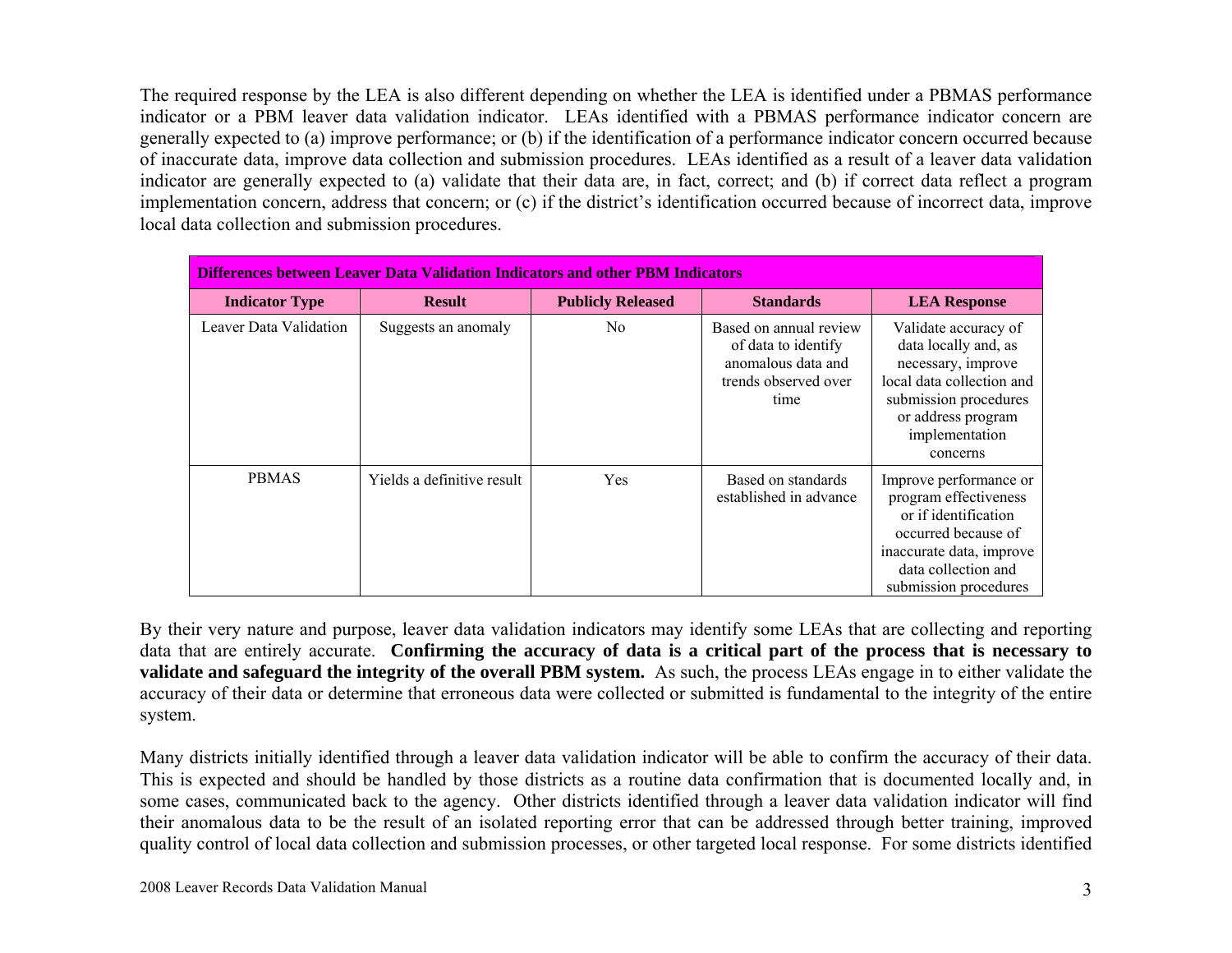The required response by the LEA is also different depending on whether the LEA is identified under a PBMAS performance indicator or a PBM leaver data validation indicator. LEAs identified with a PBMAS performance indicator concern are generally expected to (a) improve performance; or (b) if the identification of a performance indicator concern occurred because of inaccurate data, improve data collection and submission procedures. LEAs identified as a result of a leaver data validation indicator are generally expected to (a) validate that their data are, in fact, correct; and (b) if correct data reflect a program implementation concern, address that concern; or (c) if the district's identification occurred because of incorrect data, improve local data collection and submission procedures.

| <b>Differences between Leaver Data Validation Indicators and other PBM Indicators</b> |                            |                          |                                                                                                     |                                                                                                                                                                              |
|---------------------------------------------------------------------------------------|----------------------------|--------------------------|-----------------------------------------------------------------------------------------------------|------------------------------------------------------------------------------------------------------------------------------------------------------------------------------|
| <b>Indicator Type</b>                                                                 | <b>Result</b>              | <b>Publicly Released</b> | <b>Standards</b>                                                                                    | <b>LEA Response</b>                                                                                                                                                          |
| Leaver Data Validation                                                                | Suggests an anomaly        | N <sub>0</sub>           | Based on annual review<br>of data to identify<br>anomalous data and<br>trends observed over<br>time | Validate accuracy of<br>data locally and, as<br>necessary, improve<br>local data collection and<br>submission procedures<br>or address program<br>implementation<br>concerns |
| <b>PBMAS</b>                                                                          | Yields a definitive result | <b>Yes</b>               | Based on standards<br>established in advance                                                        | Improve performance or<br>program effectiveness<br>or if identification<br>occurred because of<br>inaccurate data, improve<br>data collection and<br>submission procedures   |

By their very nature and purpose, leaver data validation indicators may identify some LEAs that are collecting and reporting data that are entirely accurate. **Confirming the accuracy of data is a critical part of the process that is necessary to validate and safeguard the integrity of the overall PBM system.** As such, the process LEAs engage in to either validate the accuracy of their data or determine that erroneous data were collected or submitted is fundamental to the integrity of the entire system.

Many districts initially identified through a leaver data validation indicator will be able to confirm the accuracy of their data. This is expected and should be handled by those districts as a routine data confirmation that is documented locally and, in some cases, communicated back to the agency. Other districts identified through a leaver data validation indicator will find their anomalous data to be the result of an isolated reporting error that can be addressed through better training, improved quality control of local data collection and submission processes, or other targeted local response. For some districts identified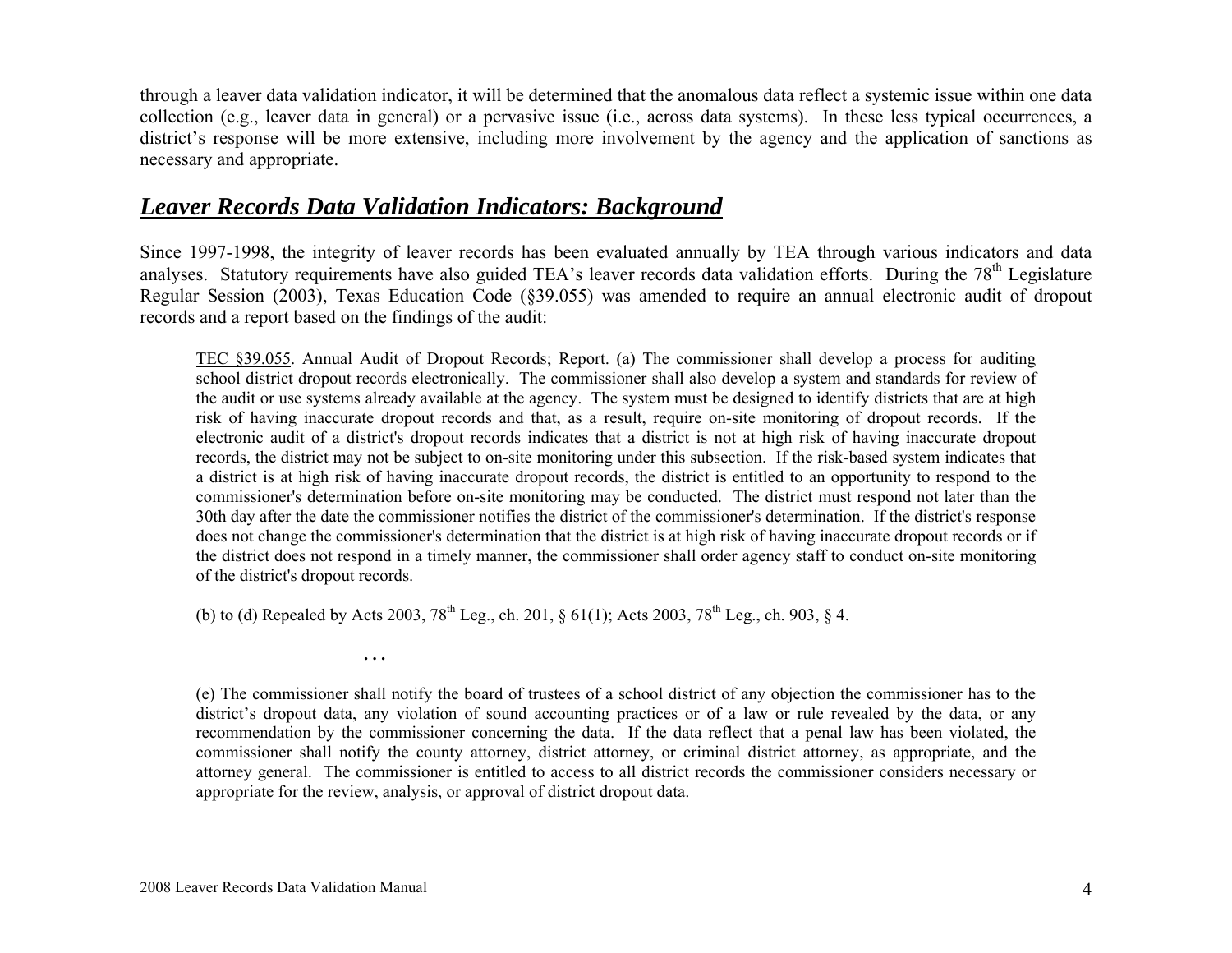through a leaver data validation indicator, it will be determined that the anomalous data reflect a systemic issue within one data collection (e.g., leaver data in general) or a pervasive issue (i.e., across data systems). In these less typical occurrences, a district's response will be more extensive, including more involvement by the agency and the application of sanctions as necessary and appropriate.

# *Leaver Records Data Validation Indicators: Background*

Since 1997-1998, the integrity of leaver records has been evaluated annually by TEA through various indicators and data analyses. Statutory requirements have also guided TEA's leaver records data validation efforts. During the  $78<sup>th</sup>$  Legislature Regular Session (2003), Texas Education Code (§39.055) was amended to require an annual electronic audit of dropout records and a report based on the findings of the audit:

TEC §39.055. Annual Audit of Dropout Records; Report. (a) The commissioner shall develop a process for auditing school district dropout records electronically. The commissioner shall also develop a system and standards for review of the audit or use systems already available at the agency. The system must be designed to identify districts that are at high risk of having inaccurate dropout records and that, as a result, require on-site monitoring of dropout records. If the electronic audit of a district's dropout records indicates that a district is not at high risk of having inaccurate dropout records, the district may not be subject to on-site monitoring under this subsection. If the risk-based system indicates that a district is at high risk of having inaccurate dropout records, the district is entitled to an opportunity to respond to the commissioner's determination before on-site monitoring may be conducted. The district must respond not later than the 30th day after the date the commissioner notifies the district of the commissioner's determination. If the district's response does not change the commissioner's determination that the district is at high risk of having inaccurate dropout records or if the district does not respond in a timely manner, the commissioner shall order agency staff to conduct on-site monitoring of the district's dropout records.

(b) to (d) Repealed by Acts 2003,  $78^{th}$  Leg., ch. 201, § 61(1); Acts 2003,  $78^{th}$  Leg., ch. 903, § 4.

**. . .** 

(e) The commissioner shall notify the board of trustees of a school district of any objection the commissioner has to the district's dropout data, any violation of sound accounting practices or of a law or rule revealed by the data, or any recommendation by the commissioner concerning the data. If the data reflect that a penal law has been violated, the commissioner shall notify the county attorney, district attorney, or criminal district attorney, as appropriate, and the attorney general. The commissioner is entitled to access to all district records the commissioner considers necessary or appropriate for the review, analysis, or approval of district dropout data.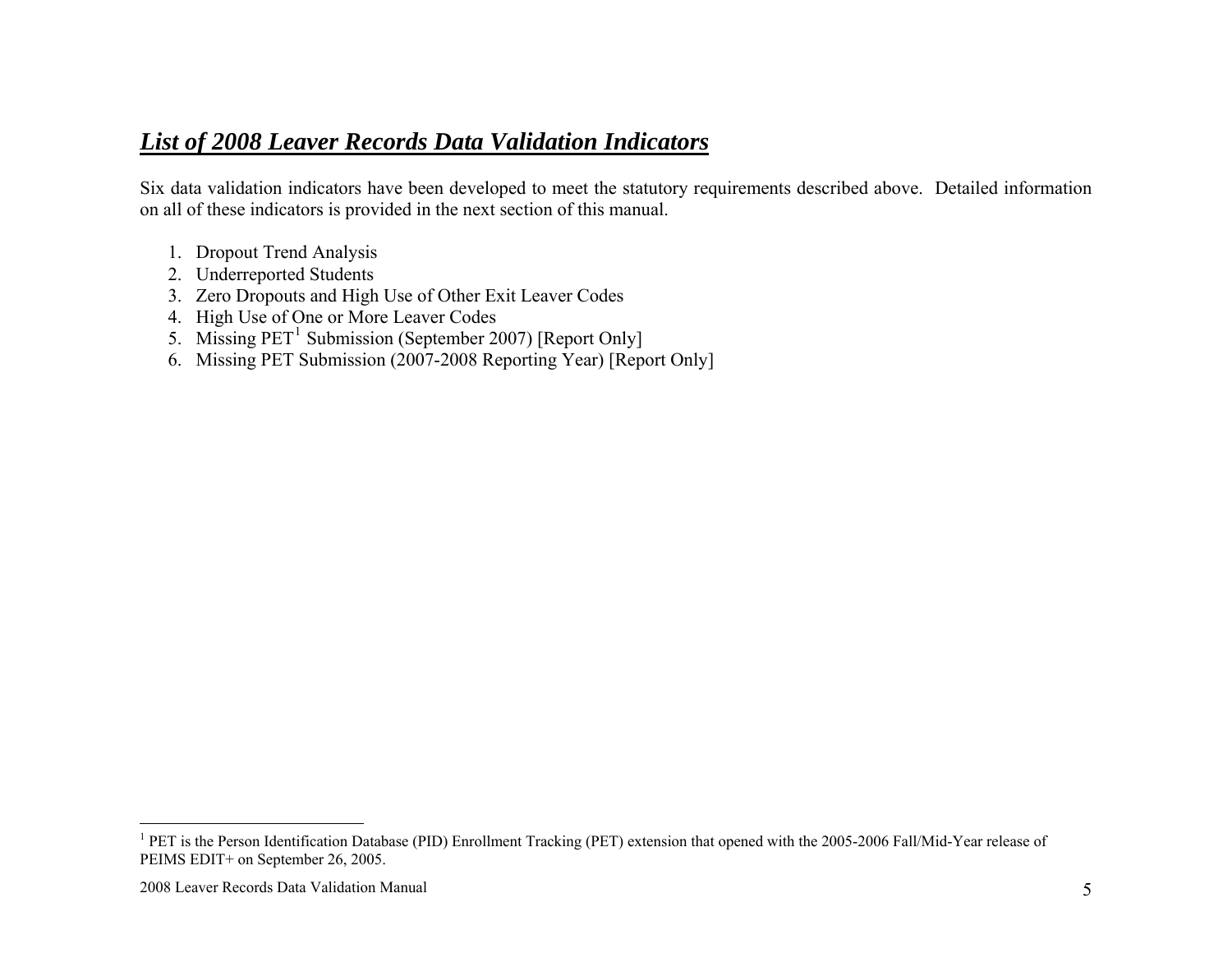# *List of 2008 Leaver Records Data Validation Indicators*

Six data validation indicators have been developed to meet the statutory requirements described above. Detailed information on all of these indicators is provided in the next section of this manual.

- 1. Dropout Trend Analysis
- 2. Underreported Students
- 3. Zero Dropouts and High Use of Other Exit Leaver Codes
- 4. High Use of One or More Leaver Codes
- 5. Missing  $PET<sup>1</sup>$  $PET<sup>1</sup>$  $PET<sup>1</sup>$  Submission (September 2007) [Report Only]
- 6. Missing PET Submission (2007-2008 Reporting Year) [Report Only]

<span id="page-7-0"></span><sup>&</sup>lt;sup>1</sup> PET is the Person Identification Database (PID) Enrollment Tracking (PET) extension that opened with the 2005-2006 Fall/Mid-Year release of PEIMS EDIT+ on September 26, 2005.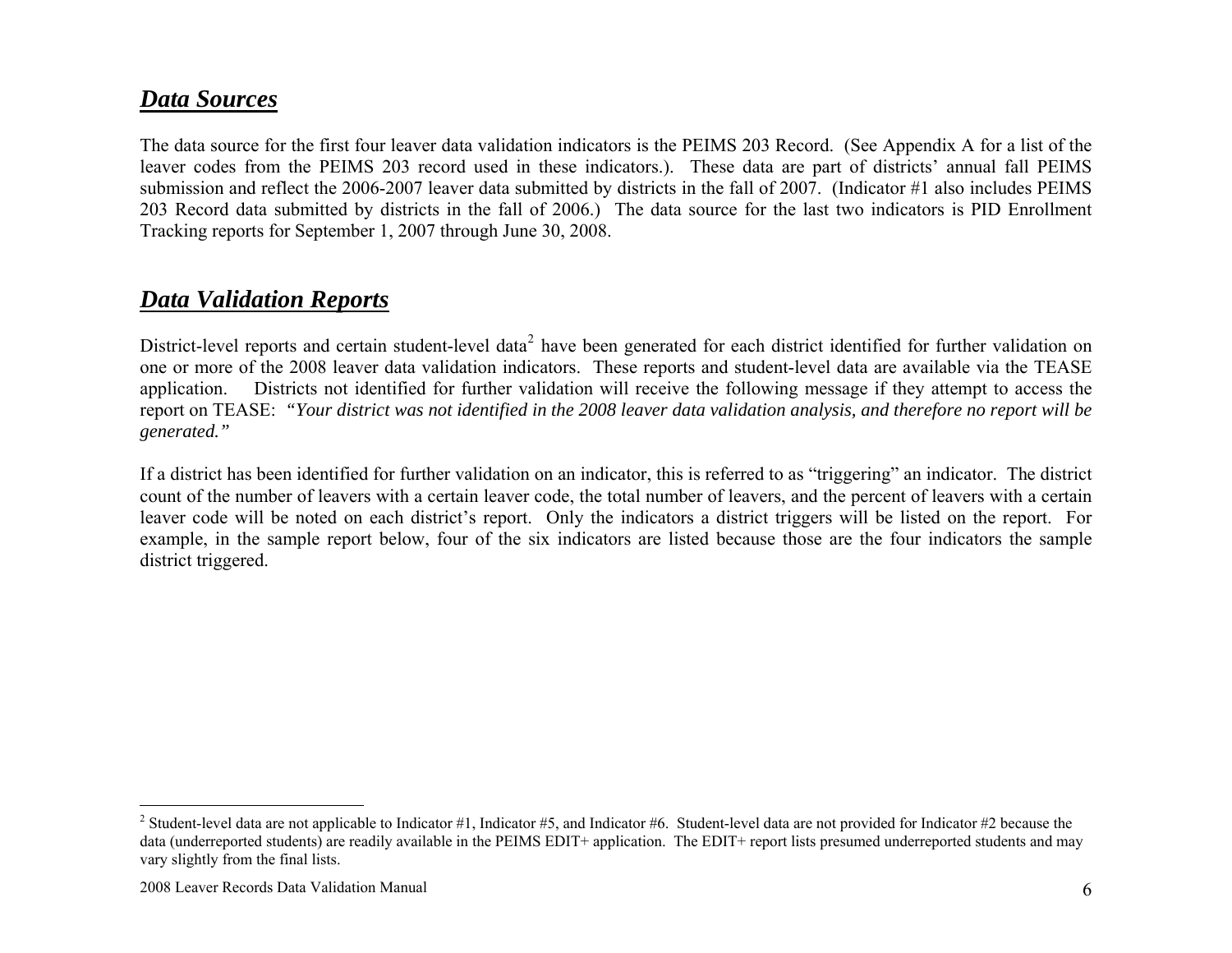# *Data Sources*

The data source for the first four leaver data validation indicators is the PEIMS 203 Record. (See Appendix A for a list of the leaver codes from the PEIMS 203 record used in these indicators.). These data are part of districts' annual fall PEIMS submission and reflect the 2006-2007 leaver data submitted by districts in the fall of 2007. (Indicator #1 also includes PEIMS 203 Record data submitted by districts in the fall of 2006.) The data source for the last two indicators is PID Enrollment Tracking reports for September 1, 2007 through June 30, 2008.

# *Data Validation Reports*

District-level reports and certain student-level data<sup>[2](#page-8-0)</sup> have been generated for each district identified for further validation on one or more of the 2008 leaver data validation indicators. These reports and student-level data are available via the TEASE application. Districts not identified for further validation will receive the following message if they attempt to access the report on TEASE: *"Your district was not identified in the 2008 leaver data validation analysis, and therefore no report will be generated."*

If a district has been identified for further validation on an indicator, this is referred to as "triggering" an indicator. The district count of the number of leavers with a certain leaver code, the total number of leavers, and the percent of leavers with a certain leaver code will be noted on each district's report. Only the indicators a district triggers will be listed on the report. For example, in the sample report below, four of the six indicators are listed because those are the four indicators the sample district triggered.

<span id="page-8-0"></span><sup>&</sup>lt;sup>2</sup> Student-level data are not applicable to Indicator #1, Indicator #5, and Indicator #6. Student-level data are not provided for Indicator #2 because the data (underreported students) are readily available in the PEIMS EDIT+ application. The EDIT+ report lists presumed underreported students and may vary slightly from the final lists.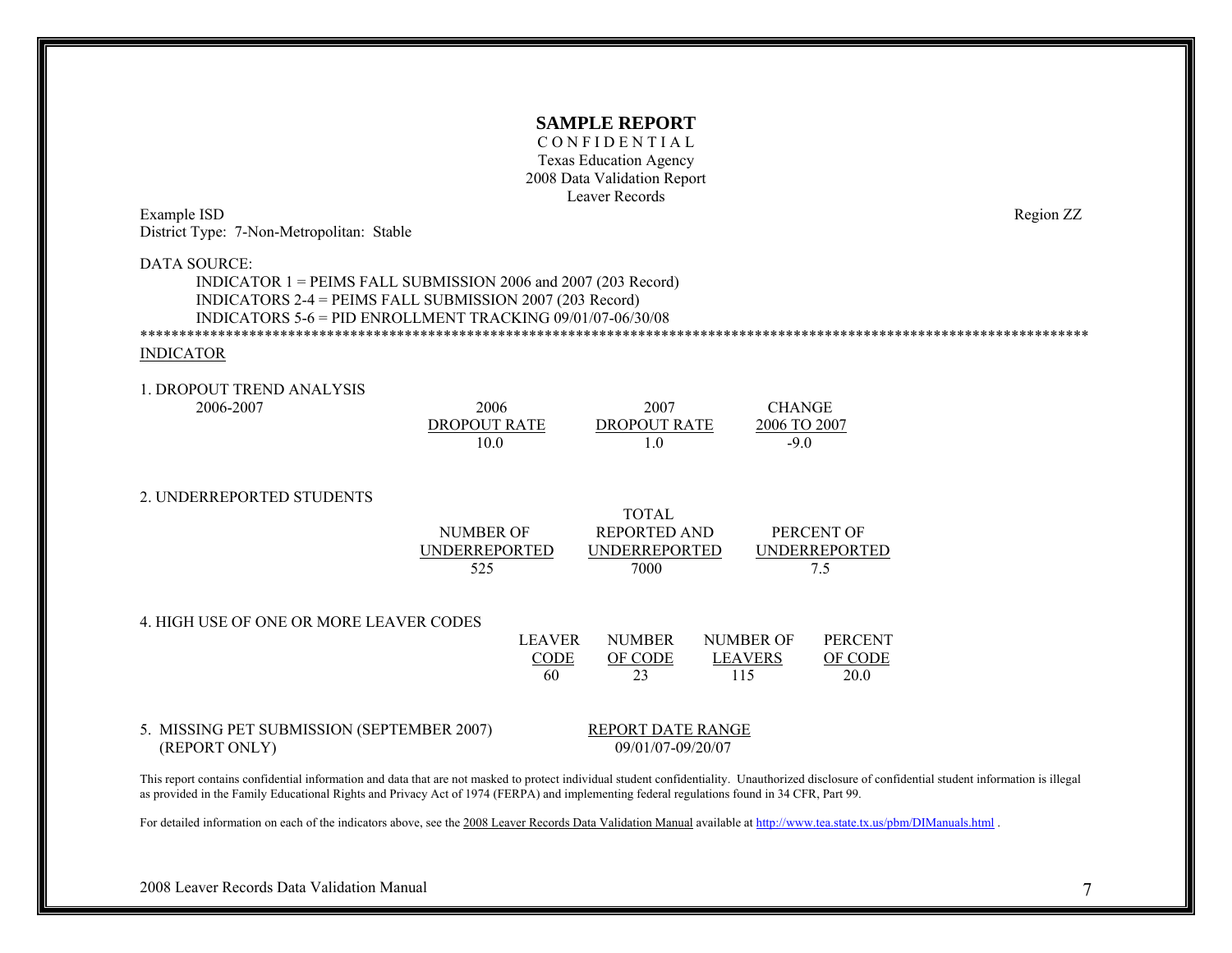#### **SAMPLE REPORT**

C O N F I D E N T I A L Texas Education Agency 2008 Data Validation Report Leaver Records

Example ISD Region ZZ District Type: 7-Non-Metropolitan: Stable

#### DATA SOURCE:

INDICATOR 1 = PEIMS FALL SUBMISSION 2006 and 2007 (203 Record) INDICATORS 2-4 = PEIMS FALL SUBMISSION 2007 (203 Record) INDICATORS 5-6 = PID ENROLLMENT TRACKING 09/01/07-06/30/08 \*\*\*\*\*\*\*\*\*\*\*\*\*\*\*\*\*\*\*\*\*\*\*\*\*\*\*\*\*\*\*\*\*\*\*\*\*\*\*\*\*\*\*\*\*\*\*\*\*\*\*\*\*\*\*\*\*\*\*\*\*\*\*\*\*\*\*\*\*\*\*\*\*\*\*\*\*\*\*\*\*\*\*\*\*\*\*\*\*\*\*\*\*\*\*\*\*\*\*\*\*\*\*\*\*\*\*\*\*\*\*\*\*\*\*\*\*\*\*\*\*\*

#### INDICATOR

| 1. DROPOUT TREND ANALYSIS<br>2006-2007                      | 2006<br><b>DROPOUT RATE</b><br>10.0             | 2007<br><b>DROPOUT RATE</b><br>1.0                                  | <b>CHANGE</b><br>2006 TO 2007<br>$-9.0$                                 |
|-------------------------------------------------------------|-------------------------------------------------|---------------------------------------------------------------------|-------------------------------------------------------------------------|
| 2. UNDERREPORTED STUDENTS                                   | <b>NUMBER OF</b><br><b>UNDERREPORTED</b><br>525 | <b>TOTAL</b><br><b>REPORTED AND</b><br><b>UNDERREPORTED</b><br>7000 | PERCENT OF<br><b>UNDERREPORTED</b><br>7.5                               |
| 4. HIGH USE OF ONE OR MORE LEAVER CODES                     | <b>LEAVER</b><br><b>CODE</b><br>60              | <b>NUMBER</b><br>OF CODE<br>23                                      | NUMBER OF<br><b>PERCENT</b><br><b>LEAVERS</b><br>OF CODE<br>20.0<br>115 |
| 5. MISSING PET SUBMISSION (SEPTEMBER 2007)<br>(REPORT ONLY) |                                                 | REPORT DATE RANGE<br>09/01/07-09/20/07                              |                                                                         |

This report contains confidential information and data that are not masked to protect individual student confidentiality. Unauthorized disclosure of confidential student information is illegal as provided in the Family Educational Rights and Privacy Act of 1974 (FERPA) and implementing federal regulations found in 34 CFR, Part 99.

For detailed information on each of the indicators above, see the 2008 Leaver Records Data Validation Manual available at<http://www.tea.state.tx.us/pbm/DIManuals.html> .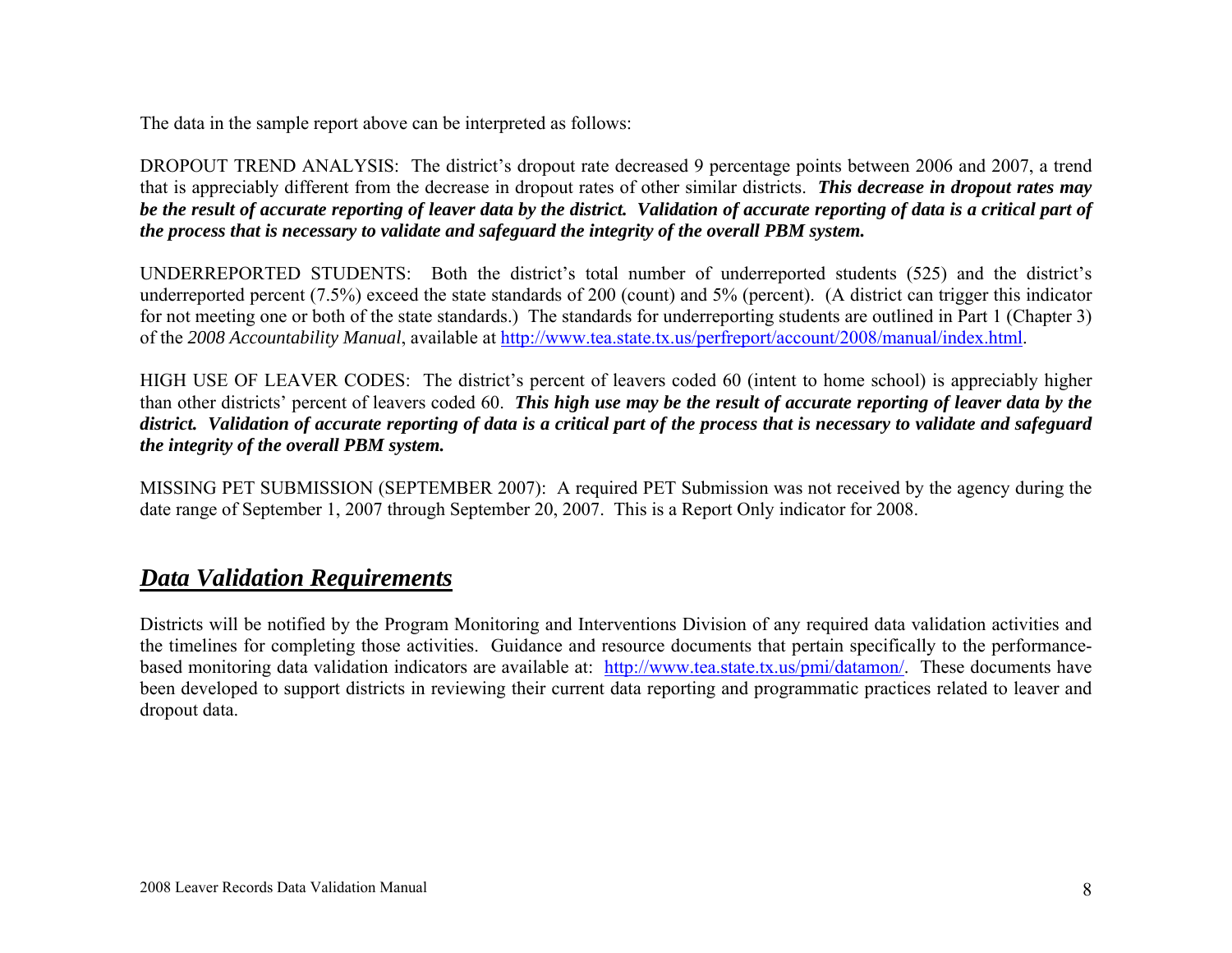The data in the sample report above can be interpreted as follows:

DROPOUT TREND ANALYSIS: The district's dropout rate decreased 9 percentage points between 2006 and 2007, a trend that is appreciably different from the decrease in dropout rates of other similar districts. *This decrease in dropout rates may be the result of accurate reporting of leaver data by the district. Validation of accurate reporting of data is a critical part of the process that is necessary to validate and safeguard the integrity of the overall PBM system.*

UNDERREPORTED STUDENTS: Both the district's total number of underreported students (525) and the district's underreported percent (7.5%) exceed the state standards of 200 (count) and 5% (percent). (A district can trigger this indicator for not meeting one or both of the state standards.) The standards for underreporting students are outlined in Part 1 (Chapter 3) of the *2008 Accountability Manual*, available at <http://www.tea.state.tx.us/perfreport/account/2008/manual/index.html>.

HIGH USE OF LEAVER CODES: The district's percent of leavers coded 60 (intent to home school) is appreciably higher than other districts' percent of leavers coded 60. *This high use may be the result of accurate reporting of leaver data by the district. Validation of accurate reporting of data is a critical part of the process that is necessary to validate and safeguard the integrity of the overall PBM system.*

MISSING PET SUBMISSION (SEPTEMBER 2007): A required PET Submission was not received by the agency during the date range of September 1, 2007 through September 20, 2007. This is a Report Only indicator for 2008.

# *Data Validation Requirements*

Districts will be notified by the Program Monitoring and Interventions Division of any required data validation activities and the timelines for completing those activities. Guidance and resource documents that pertain specifically to the performancebased monitoring data validation indicators are available at: <http://www.tea.state.tx.us/pmi/datamon/>. These documents have been developed to support districts in reviewing their current data reporting and programmatic practices related to leaver and dropout data.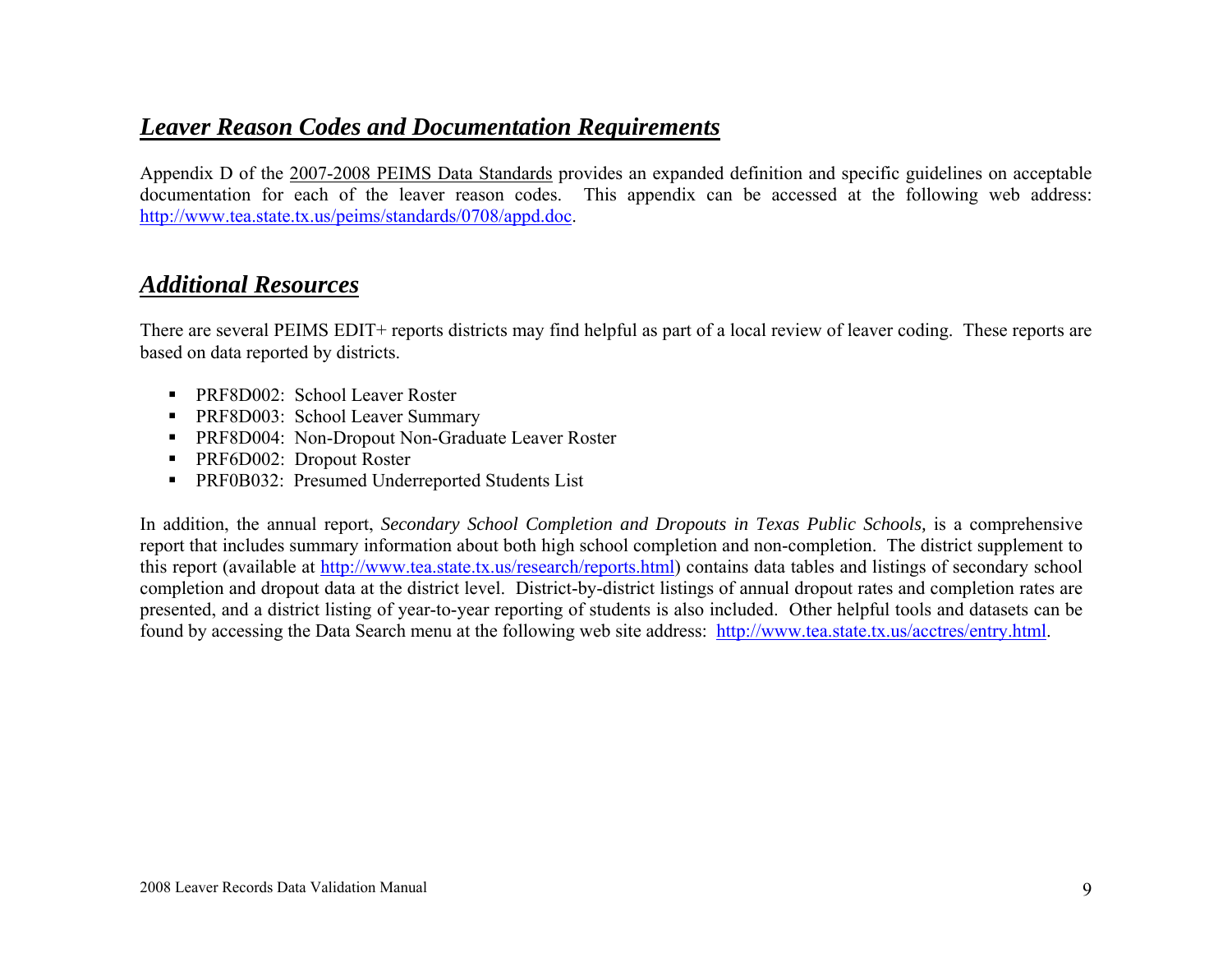# *Leaver Reason Codes and Documentation Requirements*

Appendix D of the 2007-2008 PEIMS Data Standards provides an expanded definition and specific guidelines on acceptable documentation for each of the leaver reason codes. This appendix can be accessed at the following web address: <http://www.tea.state.tx.us/peims/standards/0708/appd.doc>.

# *Additional Resources*

There are several PEIMS EDIT+ reports districts may find helpful as part of a local review of leaver coding. These reports are based on data reported by districts.

- PRF8D002: School Leaver Roster
- **PRF8D003: School Leaver Summary**
- **PRF8D004: Non-Dropout Non-Graduate Leaver Roster**
- PRF6D002: Dropout Roster
- PRF0B032: Presumed Underreported Students List

In addition, the annual report, *Secondary School Completion and Dropouts in Texas Public Schools,* is a comprehensive report that includes summary information about both high school completion and non-completion. The district supplement to this report (available at <http://www.tea.state.tx.us/research/reports.html>) contains data tables and listings of secondary school completion and dropout data at the district level. District-by-district listings of annual dropout rates and completion rates are presented, and a district listing of year-to-year reporting of students is also included. Other helpful tools and datasets can be found by accessing the Data Search menu at the following web site address: <http://www.tea.state.tx.us/acctres/entry.html>.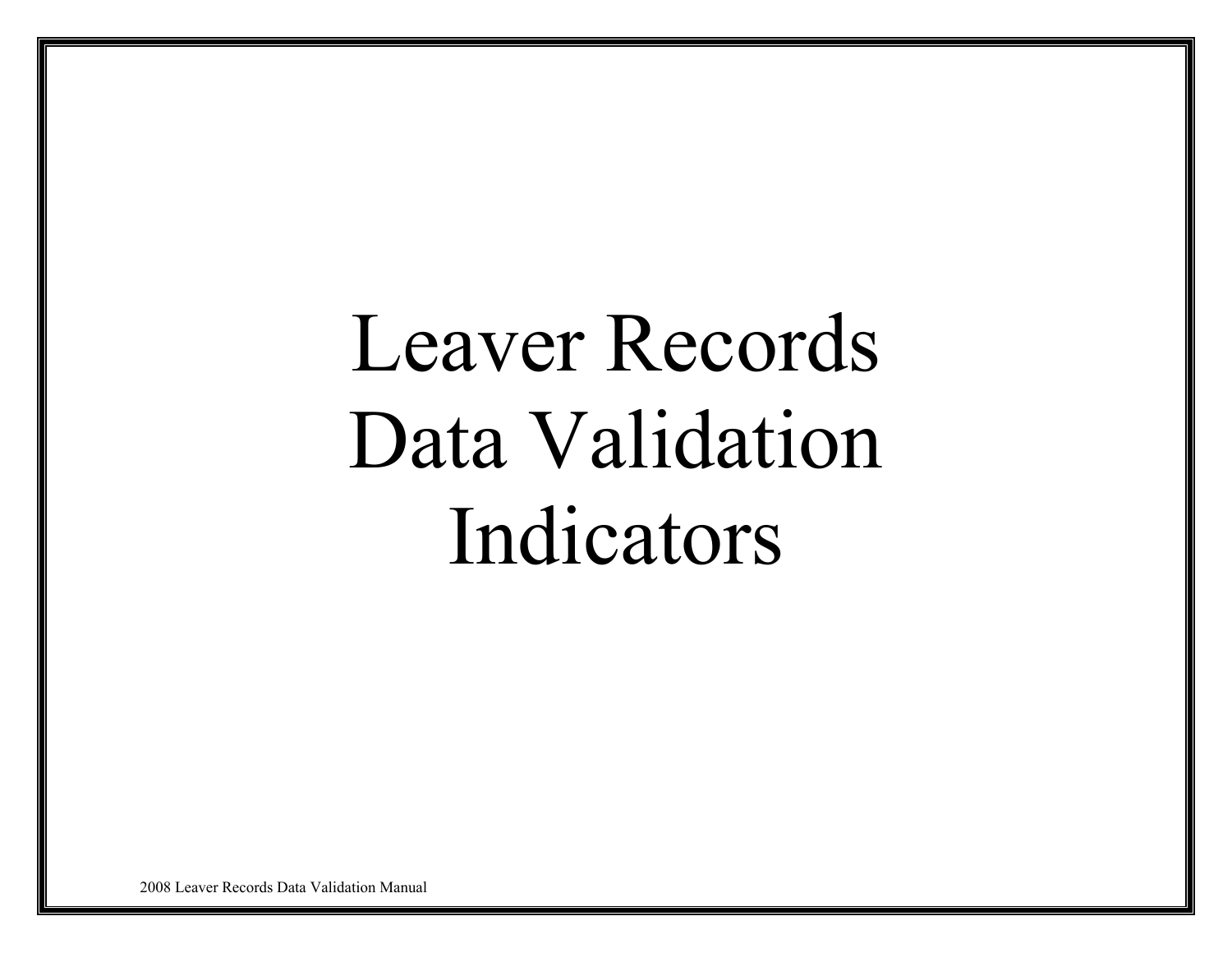# Leaver Records Data Validation Indicators

2008 Leaver Records Data Validation Manual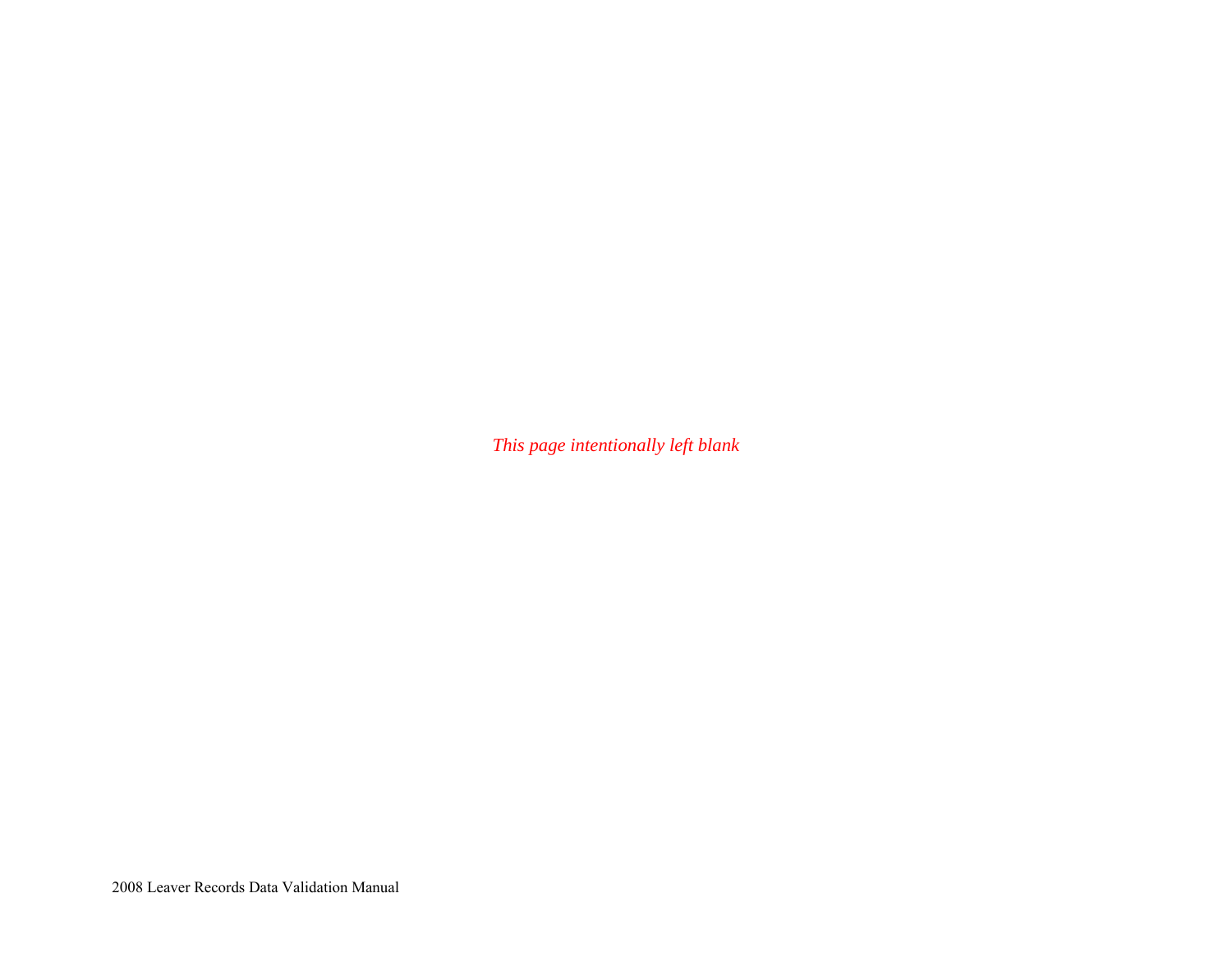*This page intentionally left blank*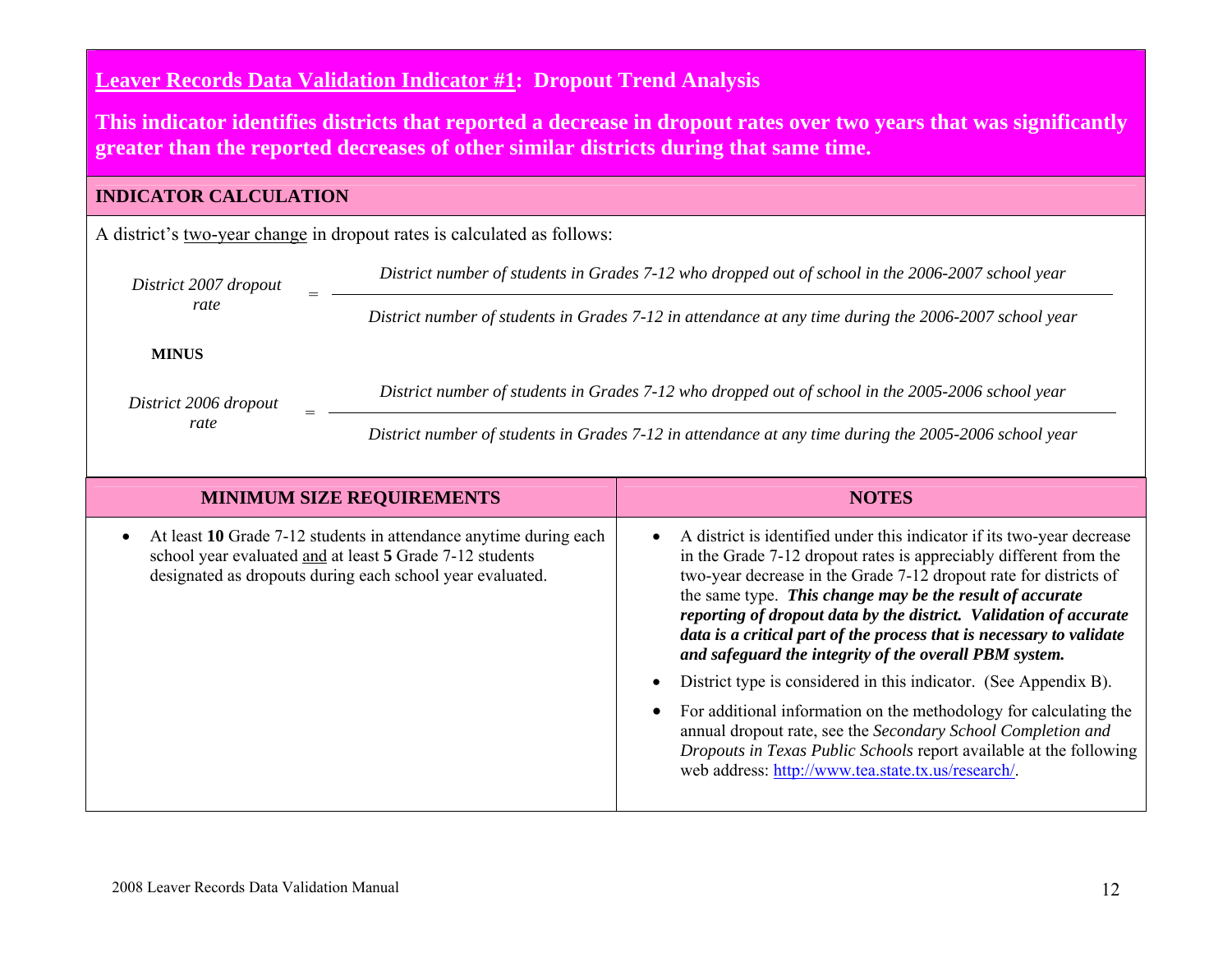# **Leaver Records Data Validation Indicator #1: Dropout Trend Analysis**

**This indicator identifies districts that reported a decrease in dropout rates over two years that was significantly greater than the reported decreases of other similar districts during that same time.**

# **INDICATOR CALCULATION**

**MINIMUM SIZE REQUIREMENTS NOTES** • At least **10** Grade 7-12 students in attendance anytime during each school year evaluated and at least **5** Grade 7-12 students designated as dropouts during each school year evaluated. • A district is identified under this indicator if its two-year decrease in the Grade 7-12 dropout rates is appreciably different from the two-year decrease in the Grade 7-12 dropout rate for districts of the same type. *This change may be the result of accurate reporting of dropout data by the district. Validation of accurate data is a critical part of the process that is necessary to validate and safeguard the integrity of the overall PBM system.* • District type is considered in this indicator. (See Appendix B). • For additional information on the methodology for calculating the annual dropout rate, see the *Secondary School Completion and Dropouts in Texas Public Schools* report available at the following A district's two-year change in dropout rates is calculated as follows: *District number of students in Grades 7-12 who dropped out of school in the 2006-2007 school year District 2007 dropout rate* = *District number of students in Grades 7-12 in attendance at any time during the 2006-2007 school year*  **MINUS** *District number of students in Grades 7-12 who dropped out of school in the 2005-2006 school year District 2006 dropout rate* = *District number of students in Grades 7-12 in attendance at any time during the 2005-2006 school year* 

web address:<http://www.tea.state.tx.us/research/>.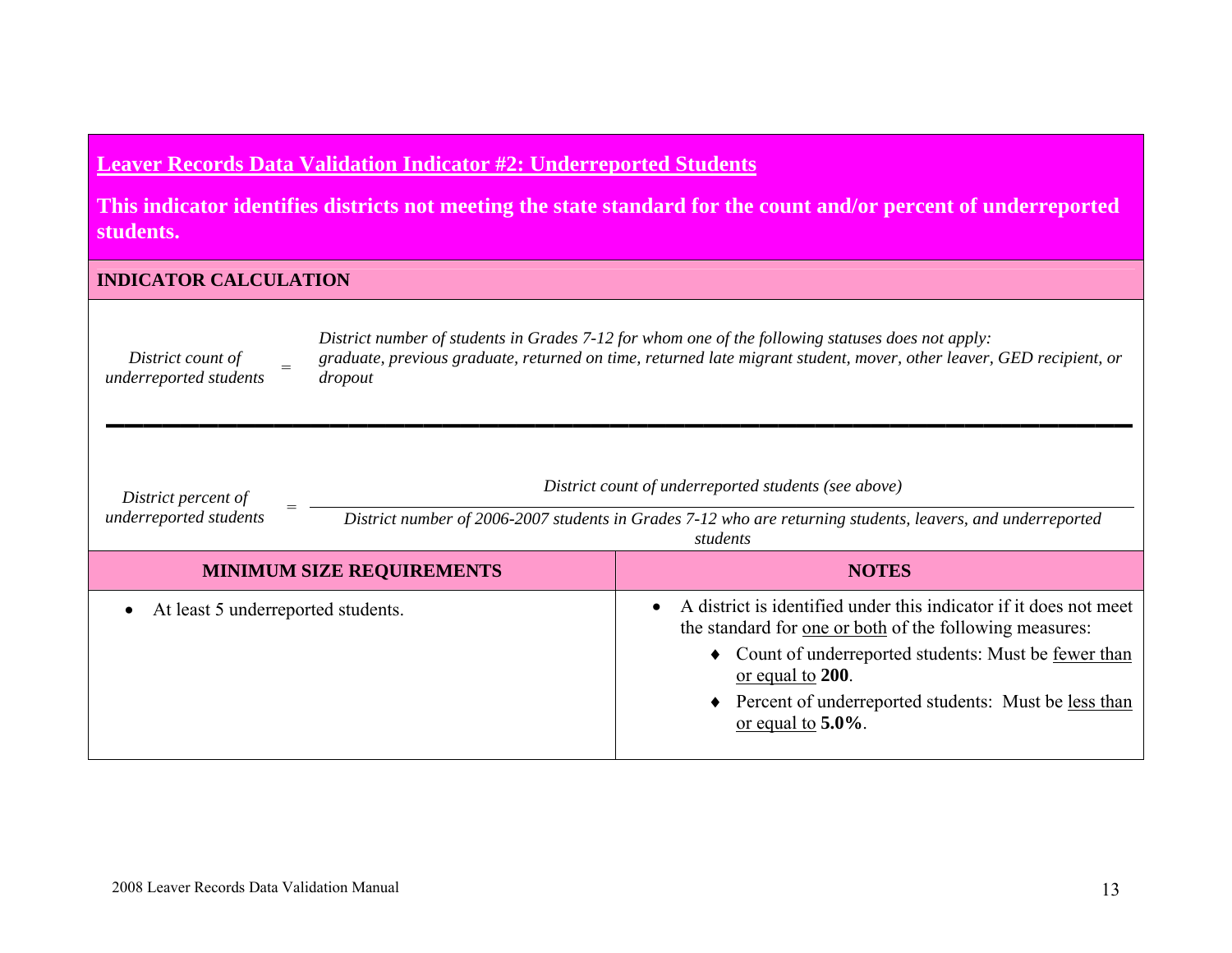# **Leaver Records Data Validation Indicator #2: Underreported Students**

**This indicator identifies districts not meeting the state standard for the count and/or percent of underreported students.**

#### **INDICATOR CALCULATION**

| District count of<br>underreported students<br>dropout | District number of students in Grades 7-12 for whom one of the following statuses does not apply:<br>graduate, previous graduate, returned on time, returned late migrant student, mover, other leaver, GED recipient, or                                                                              |
|--------------------------------------------------------|--------------------------------------------------------------------------------------------------------------------------------------------------------------------------------------------------------------------------------------------------------------------------------------------------------|
| District percent of<br>underreported students          | District count of underreported students (see above)<br>District number of 2006-2007 students in Grades 7-12 who are returning students, leavers, and underreported<br>students                                                                                                                        |
| <b>MINIMUM SIZE REQUIREMENTS</b>                       | <b>NOTES</b>                                                                                                                                                                                                                                                                                           |
| At least 5 underreported students.                     | A district is identified under this indicator if it does not meet<br>the standard for <u>one or both</u> of the following measures:<br>Count of underreported students: Must be fewer than<br>or equal to 200.<br>Percent of underreported students: Must be <u>less than</u><br>or equal to $5.0\%$ . |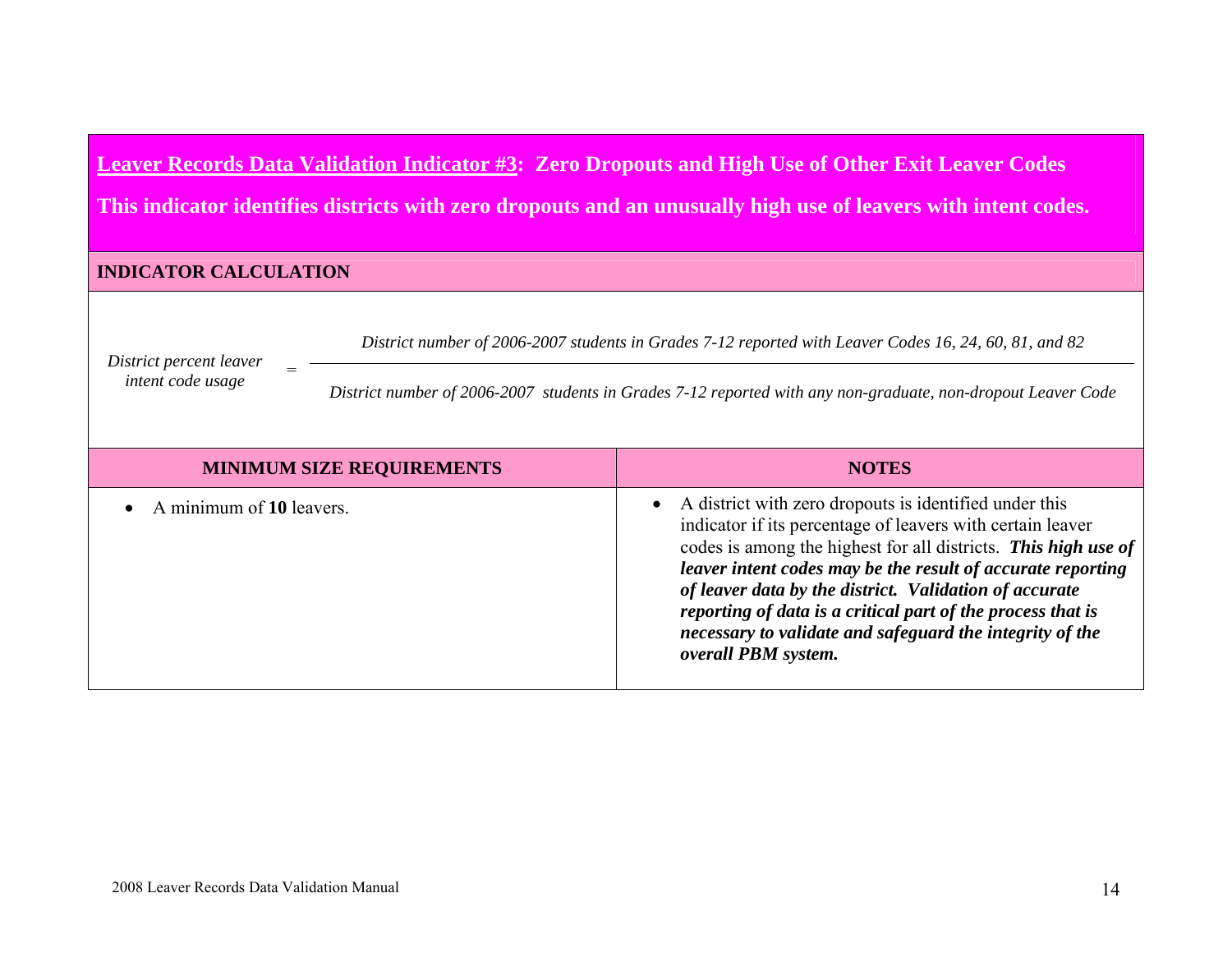**Leaver Records Data Validation Indicator #3: Zero Dropouts and High Use of Other Exit Leaver Codes This indicator identifies districts with zero dropouts and an unusually high use of leavers with intent codes.**

### **INDICATOR CALCULATION**

*District number of 2006-2007 students in Grades 7-12 reported with Leaver Codes 16, 24, 60, 81, and 82* 

*District percent leaver* 

*intent code usage* <sup>=</sup>*District number of 2006-2007 students in Grades 7-12 reported with any non-graduate, non-dropout Leaver Code* 

| <b>MINIMUM SIZE REQUIREMENTS</b> | <b>NOTES</b>                                                                                                                                                                                                                                                                                                                                                                                                                                                        |
|----------------------------------|---------------------------------------------------------------------------------------------------------------------------------------------------------------------------------------------------------------------------------------------------------------------------------------------------------------------------------------------------------------------------------------------------------------------------------------------------------------------|
| • A minimum of $10$ leavers.     | • A district with zero dropouts is identified under this<br>indicator if its percentage of leavers with certain leaver<br>codes is among the highest for all districts. This high use of<br>leaver intent codes may be the result of accurate reporting<br>of leaver data by the district. Validation of accurate<br>reporting of data is a critical part of the process that is<br>necessary to validate and safeguard the integrity of the<br>overall PBM system. |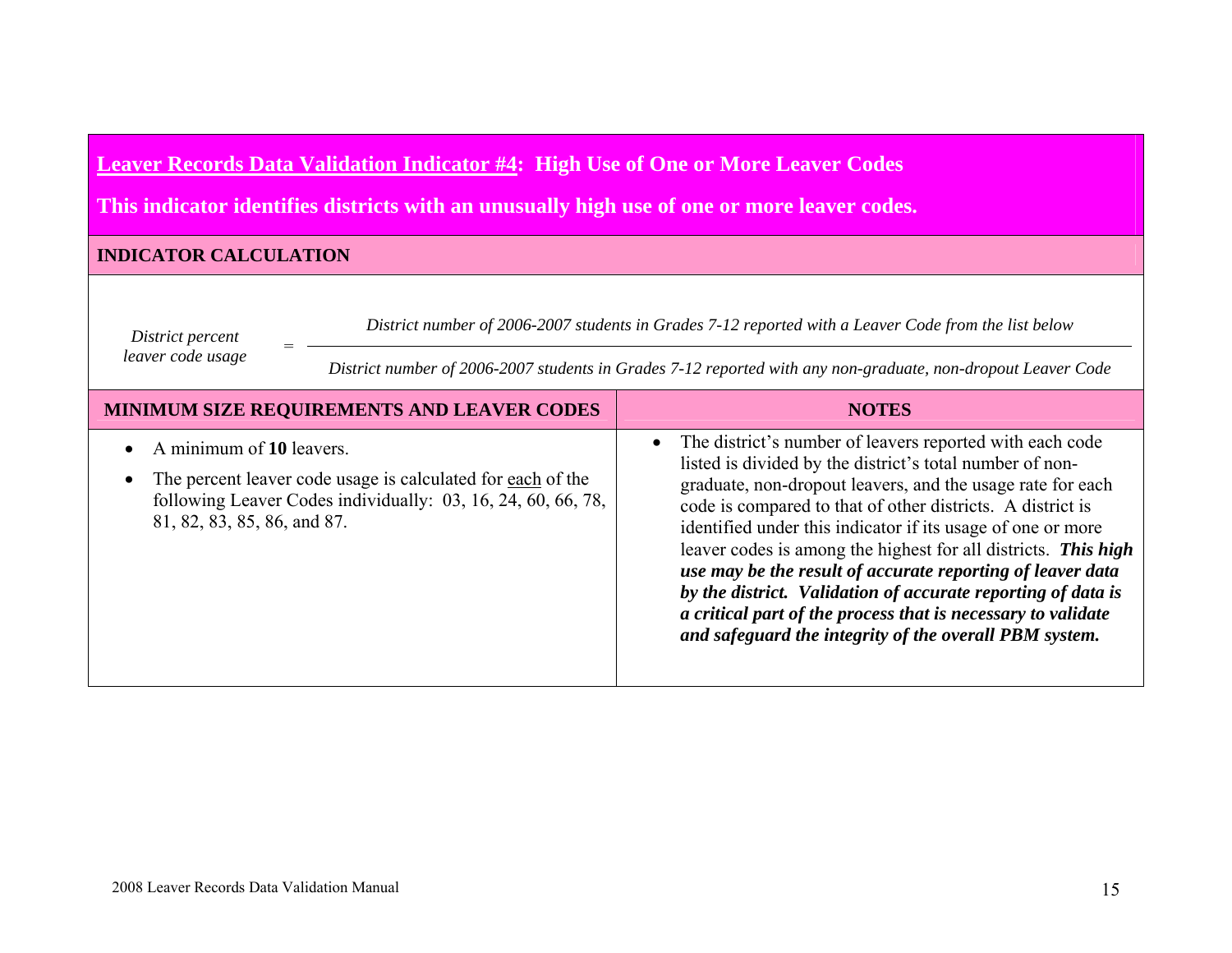**Leaver Records Data Validation Indicator #4: High Use of One or More Leaver Codes** 

**This indicator identifies districts with an unusually high use of one or more leaver codes.**

## **INDICATOR CALCULATION**

*District number of 2006-2007 students in Grades 7-12 reported with a Leaver Code from the list below leaver code usage*  $=$ 

*leaver code usage* <sup>=</sup>*District number of 2006-2007 students in Grades 7-12 reported with any non-graduate, non-dropout Leaver Code* 

| <b>MINIMUM SIZE REQUIREMENTS AND LEAVER CODES</b>                                                                                                                                                                | <b>NOTES</b>                                                                                                                                                                                                                                                                                                                                                                                                                                                                                                                                                                                                                                |
|------------------------------------------------------------------------------------------------------------------------------------------------------------------------------------------------------------------|---------------------------------------------------------------------------------------------------------------------------------------------------------------------------------------------------------------------------------------------------------------------------------------------------------------------------------------------------------------------------------------------------------------------------------------------------------------------------------------------------------------------------------------------------------------------------------------------------------------------------------------------|
| A minimum of 10 leavers.<br>$\bullet$<br>The percent leaver code usage is calculated for each of the<br>$\bullet$<br>following Leaver Codes individually: 03, 16, 24, 60, 66, 78,<br>81, 82, 83, 85, 86, and 87. | • The district's number of leavers reported with each code<br>listed is divided by the district's total number of non-<br>graduate, non-dropout leavers, and the usage rate for each<br>code is compared to that of other districts. A district is<br>identified under this indicator if its usage of one or more<br>leaver codes is among the highest for all districts. This high<br>use may be the result of accurate reporting of leaver data<br>by the district. Validation of accurate reporting of data is<br>a critical part of the process that is necessary to validate<br>and safeguard the integrity of the overall PBM system. |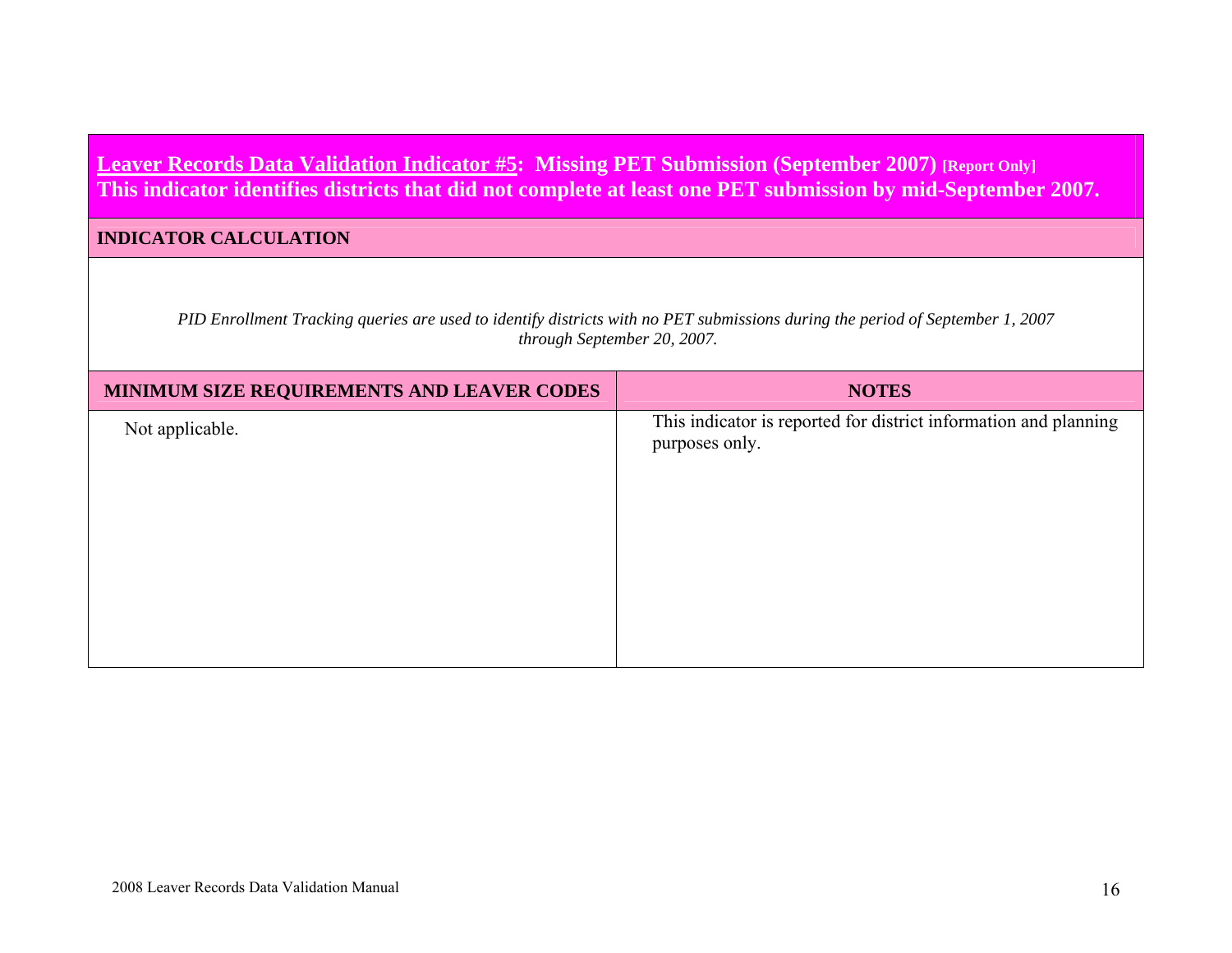**Leaver Records Data Validation Indicator #5: Missing PET Submission (September 2007)** [Report Only] **This indicator identifies districts that did not complete at least one PET submission by mid-September 2007.** 

#### **INDICATOR CALCULATION**

*PID Enrollment Tracking queries are used to identify districts with no PET submissions during the period of September 1, 2007 through September 20, 2007.* 

| MINIMUM SIZE REQUIREMENTS AND LEAVER CODES | <b>NOTES</b>                                                                       |
|--------------------------------------------|------------------------------------------------------------------------------------|
| Not applicable.                            | This indicator is reported for district information and planning<br>purposes only. |
|                                            |                                                                                    |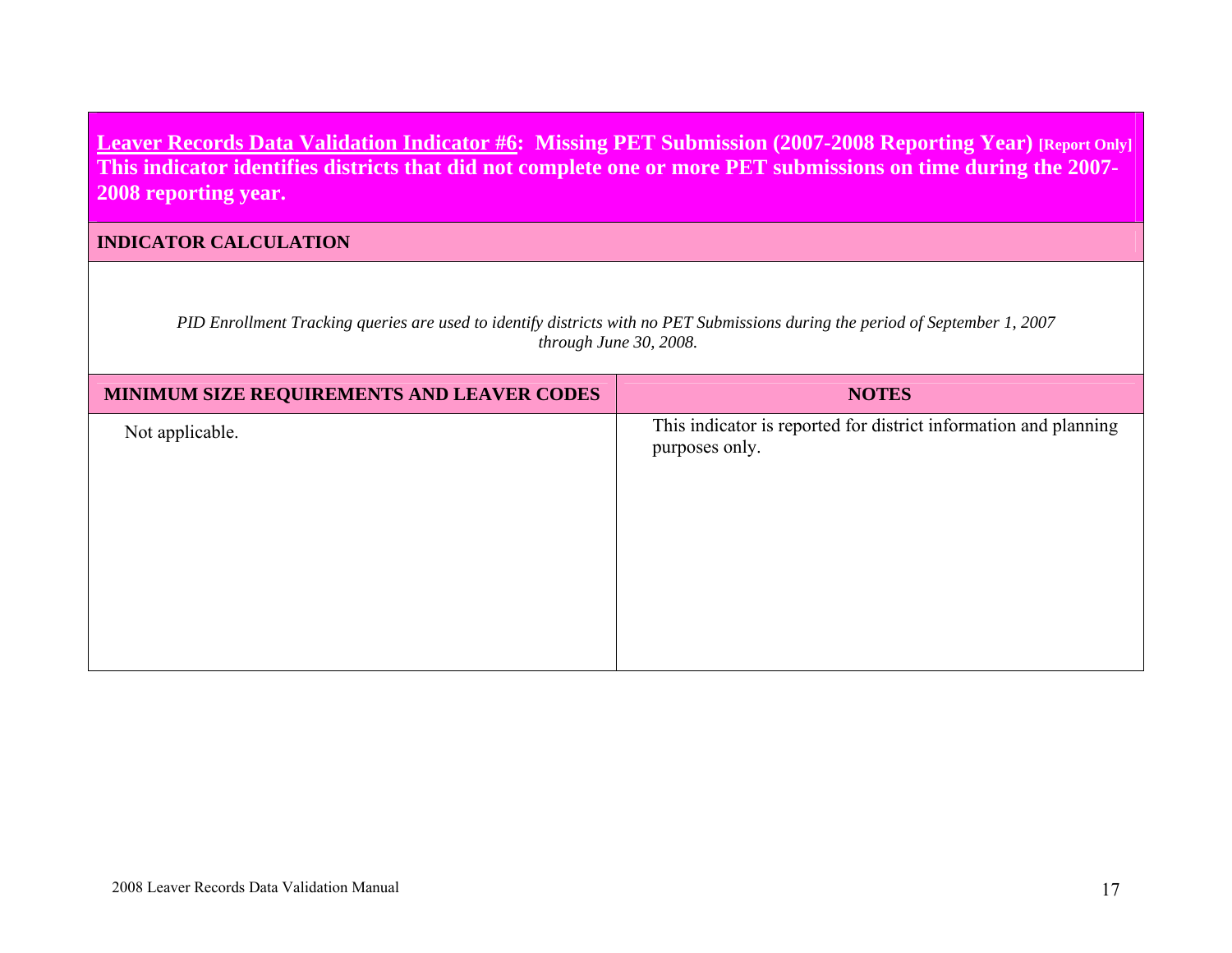**Leaver Records Data Validation Indicator #6: Missing PET Submission (2007-2008 Reporting Year) [Report Only] This indicator identifies districts that did not complete one or more PET submissions on time during the 2007- 2008 reporting year.**

#### **INDICATOR CALCULATION**

*PID Enrollment Tracking queries are used to identify districts with no PET Submissions during the period of September 1, 2007 through June 30, 2008.* 

| MINIMUM SIZE REQUIREMENTS AND LEAVER CODES | <b>NOTES</b>                                                                       |
|--------------------------------------------|------------------------------------------------------------------------------------|
| Not applicable.                            | This indicator is reported for district information and planning<br>purposes only. |
|                                            |                                                                                    |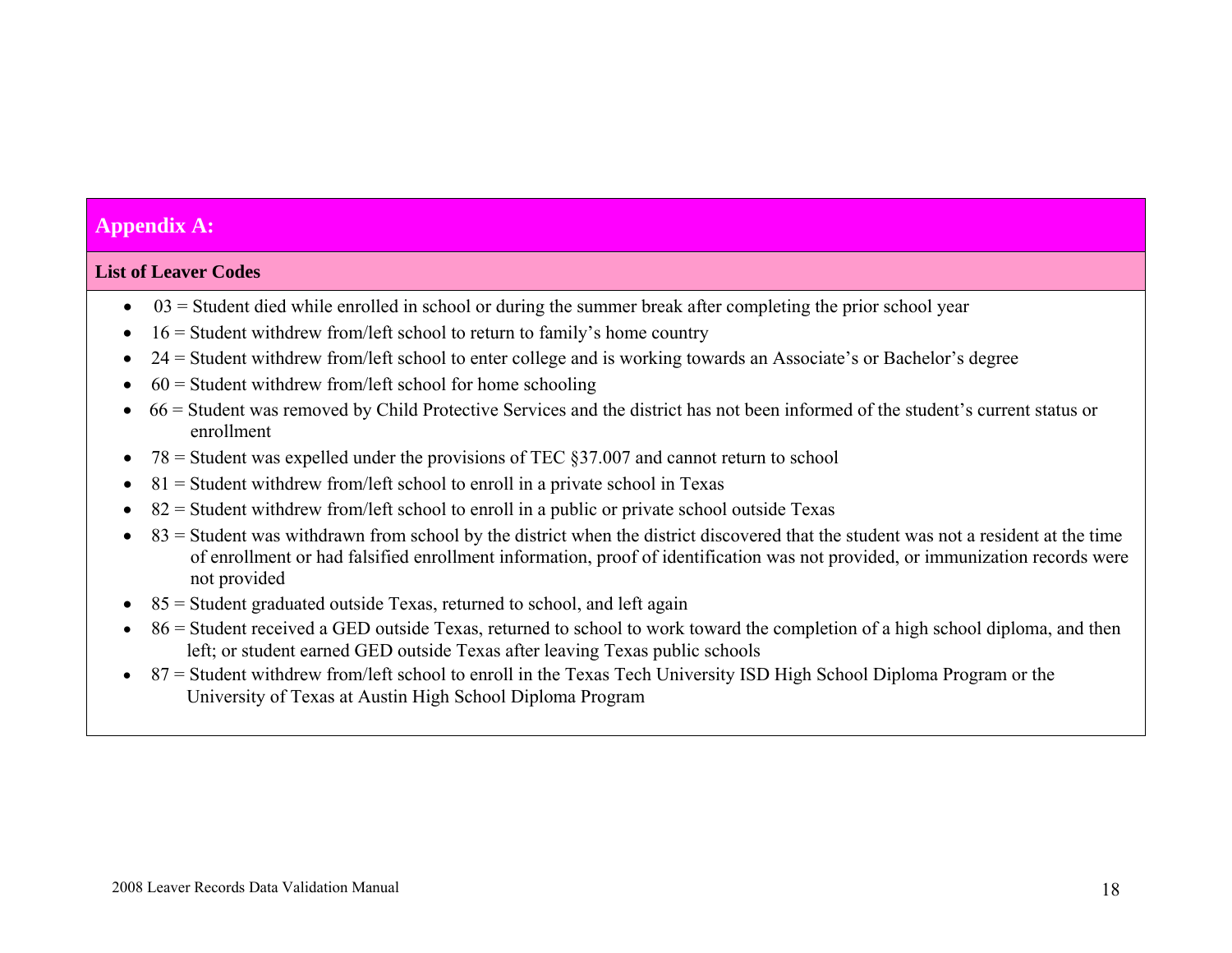# **Appendix A:**

#### **List of Leaver Codes**

- $\bullet$  03 = Student died while enrolled in school or during the summer break after completing the prior school year
- • $16 =$  Student withdrew from/left school to return to family's home country
- •24 = Student withdrew from/left school to enter college and is working towards an Associate's or Bachelor's degree
- • $60 =$  Student withdrew from/left school for home schooling
- $\bullet$  66 = Student was removed by Child Protective Services and the district has not been informed of the student's current status or enrollment
- • $78$  = Student was expelled under the provisions of TEC  $\S 37.007$  and cannot return to school
- •81 = Student withdrew from/left school to enroll in a private school in Texas
- •82 = Student withdrew from/left school to enroll in a public or private school outside Texas
- • $83$  = Student was withdrawn from school by the district when the district discovered that the student was not a resident at the time of enrollment or had falsified enrollment information, proof of identification was not provided, or immunization records were not provided
- •85 = Student graduated outside Texas, returned to school, and left again
- • 86 = Student received a GED outside Texas, returned to school to work toward the completion of a high school diploma, and then left; or student earned GED outside Texas after leaving Texas public schools
- • 87 = Student withdrew from/left school to enroll in the Texas Tech University ISD High School Diploma Program or the University of Texas at Austin High School Diploma Program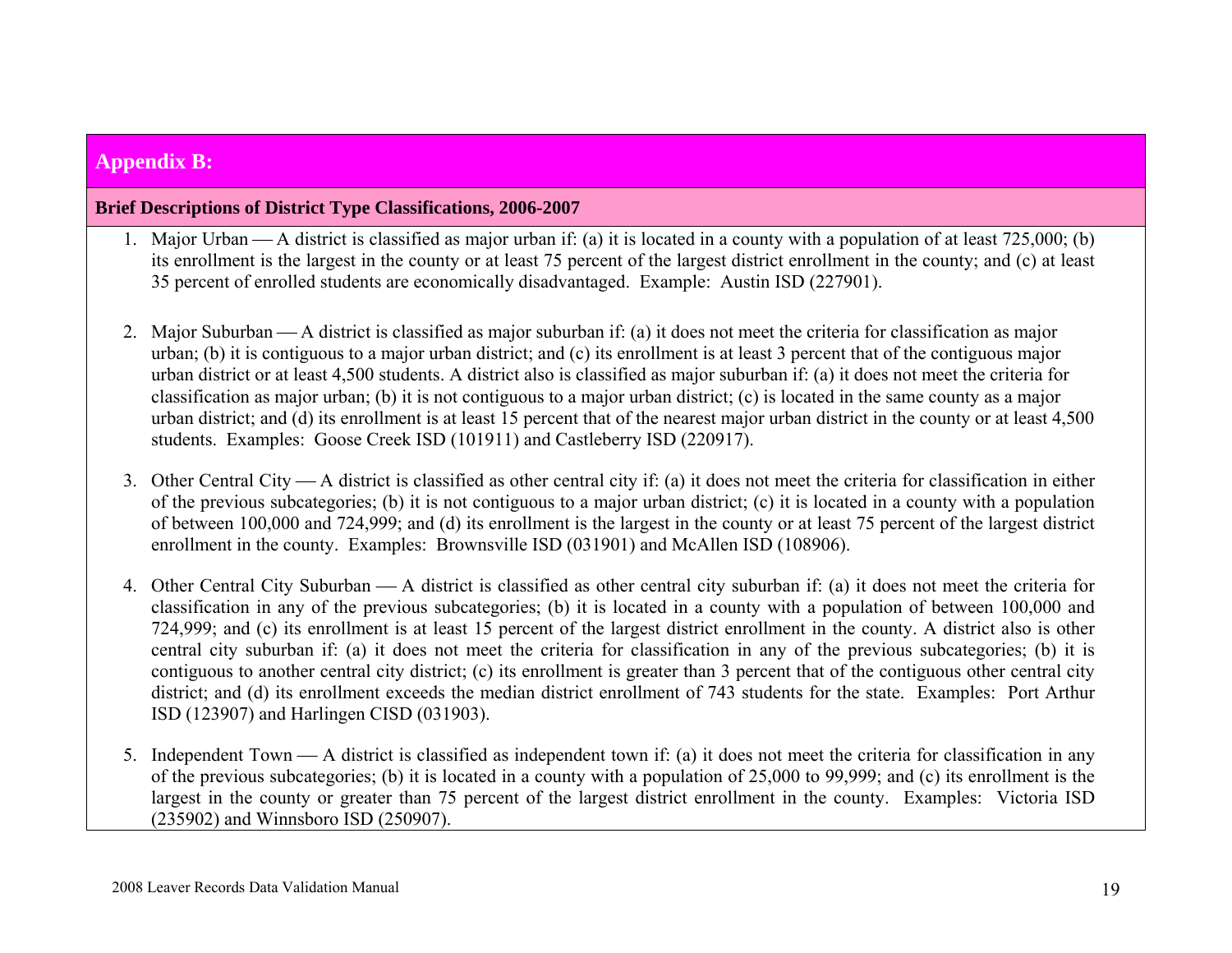# **Appendix B:**

#### **Brief Descriptions of District Type Classifications, 2006-2007**

- 1. Major Urban A district is classified as major urban if: (a) it is located in a county with a population of at least 725,000; (b) its enrollment is the largest in the county or at least 75 percent of the largest district enrollment in the county; and (c) at least 35 percent of enrolled students are economically disadvantaged. Example: Austin ISD (227901).
- 2. Major Suburban A district is classified as major suburban if: (a) it does not meet the criteria for classification as major urban; (b) it is contiguous to a major urban district; and (c) its enrollment is at least 3 percent that of the contiguous major urban district or at least 4,500 students. A district also is classified as major suburban if: (a) it does not meet the criteria for classification as major urban; (b) it is not contiguous to a major urban district; (c) is located in the same county as a major urban district; and (d) its enrollment is at least 15 percent that of the nearest major urban district in the county or at least 4,500 students. Examples: Goose Creek ISD (101911) and Castleberry ISD (220917).
- 3. Other Central City A district is classified as other central city if: (a) it does not meet the criteria for classification in either of the previous subcategories; (b) it is not contiguous to a major urban district; (c) it is located in a county with a population of between 100,000 and 724,999; and (d) its enrollment is the largest in the county or at least 75 percent of the largest district enrollment in the county. Examples: Brownsville ISD (031901) and McAllen ISD (108906).
- 4. Other Central City Suburban A district is classified as other central city suburban if: (a) it does not meet the criteria for classification in any of the previous subcategories; (b) it is located in a county with a population of between 100,000 and 724,999; and (c) its enrollment is at least 15 percent of the largest district enrollment in the county. A district also is other central city suburban if: (a) it does not meet the criteria for classification in any of the previous subcategories; (b) it is contiguous to another central city district; (c) its enrollment is greater than 3 percent that of the contiguous other central city district; and (d) its enrollment exceeds the median district enrollment of 743 students for the state. Examples: Port Arthur ISD (123907) and Harlingen CISD (031903).
- 5. Independent Town A district is classified as independent town if: (a) it does not meet the criteria for classification in any of the previous subcategories; (b) it is located in a county with a population of 25,000 to 99,999; and (c) its enrollment is the largest in the county or greater than 75 percent of the largest district enrollment in the county. Examples: Victoria ISD (235902) and Winnsboro ISD (250907).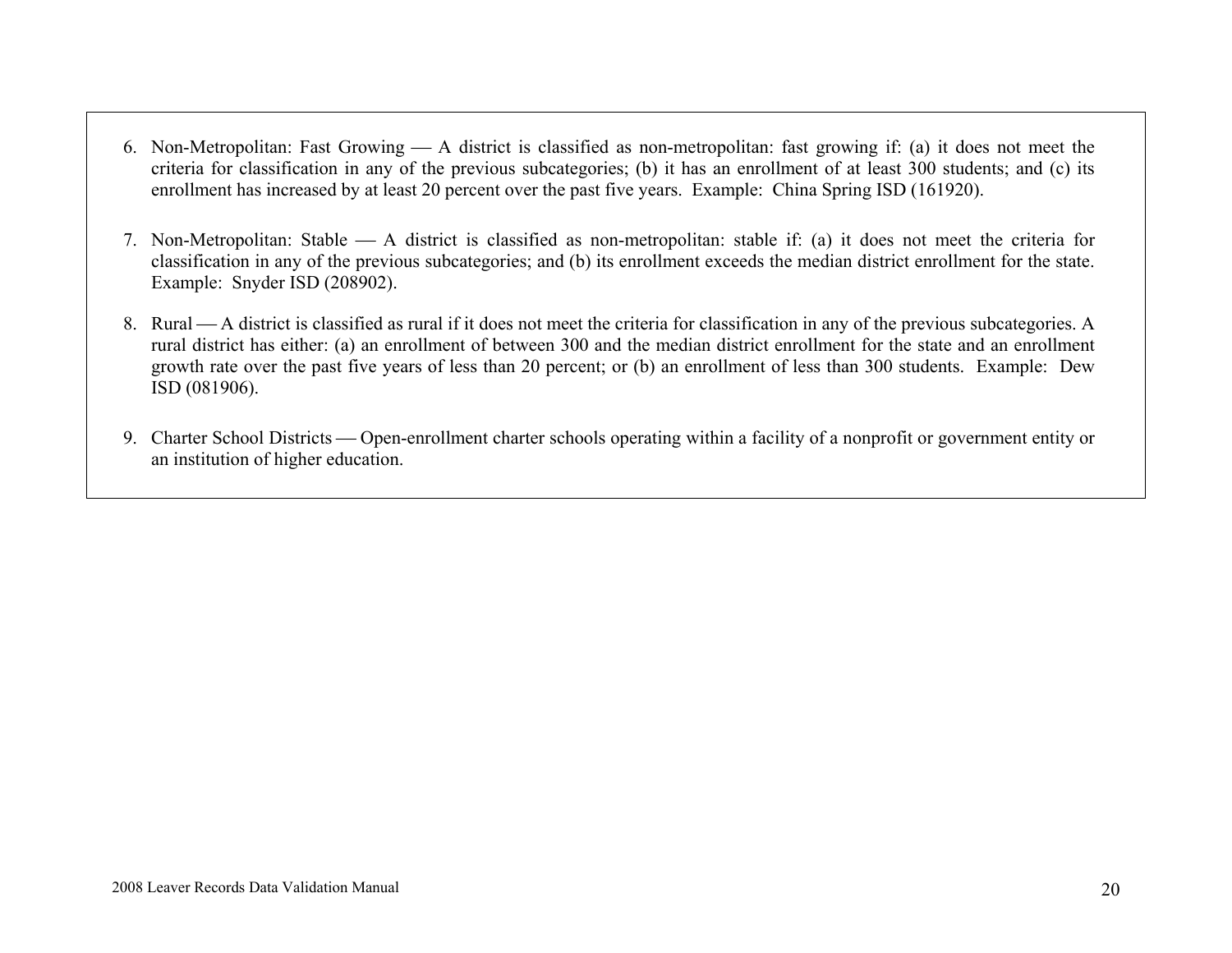- 6. Non-Metropolitan: Fast Growing A district is classified as non-metropolitan: fast growing if: (a) it does not meet the criteria for classification in any of the previous subcategories; (b) it has an enrollment of at least 300 students; and (c) its enrollment has increased by at least 20 percent over the past five years. Example: China Spring ISD (161920).
- 7. Non-Metropolitan: Stable A district is classified as non-metropolitan: stable if: (a) it does not meet the criteria for classification in any of the previous subcategories; and (b) its enrollment exceeds the median district enrollment for the state. Example: Snyder ISD (208902).
- 8. Rural A district is classified as rural if it does not meet the criteria for classification in any of the previous subcategories. A rural district has either: (a) an enrollment of between 300 and the median district enrollment for the state and an enrollment growth rate over the past five years of less than 20 percent; or (b) an enrollment of less than 300 students. Example: Dew ISD (081906).
- 9. Charter School Districts Open-enrollment charter schools operating within a facility of a nonprofit or government entity or an institution of higher education.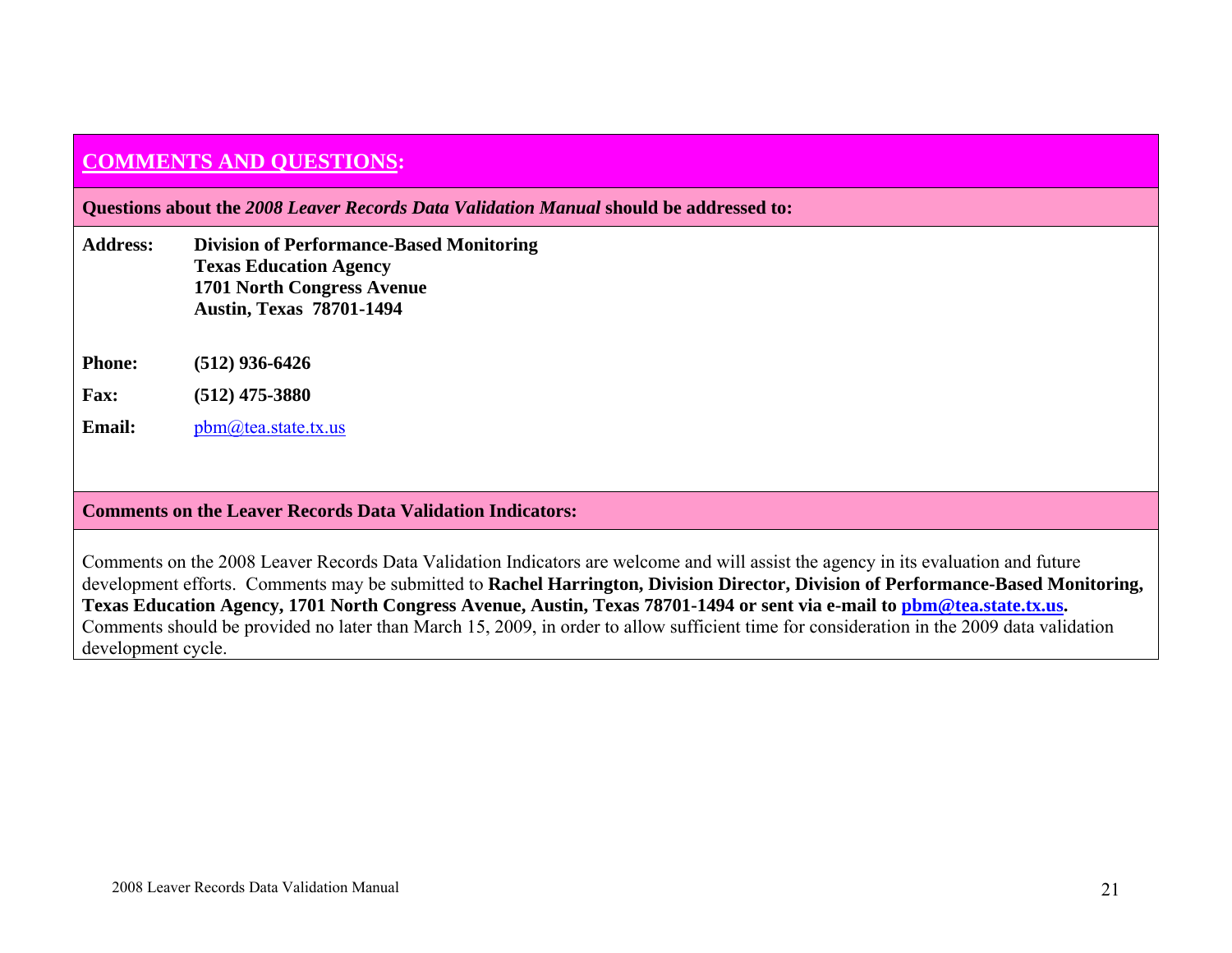# **COMMENTS AND QUESTIONS:**

**Questions about the** *2008 Leaver Records Data Validation Manual* **should be addressed to:** 

**Address: Division of Performance-Based Monitoring Texas Education Agency 1701 North Congress Avenue Austin, Texas 78701-1494** 

- **Phone: (512) 936-6426**
- **Fax: (512) 475-3880**

**Email: phm**@tea.state.tx.us

**Comments on the Leaver Records Data Validation Indicators:** 

Comments on the 2008 Leaver Records Data Validation Indicators are welcome and will assist the agency in its evaluation and future development efforts. Comments may be submitted to **Rachel Harrington, Division Director, Division of Performance-Based Monitoring, Texas Education Agency, 1701 North Congress Avenue, Austin, Texas 78701-1494 or sent via e-mail to [pbm@tea.state.tx.us](mailto:pbm@tea.state.tx.us).**  Comments should be provided no later than March 15, 2009, in order to allow sufficient time for consideration in the 2009 data validation development cycle.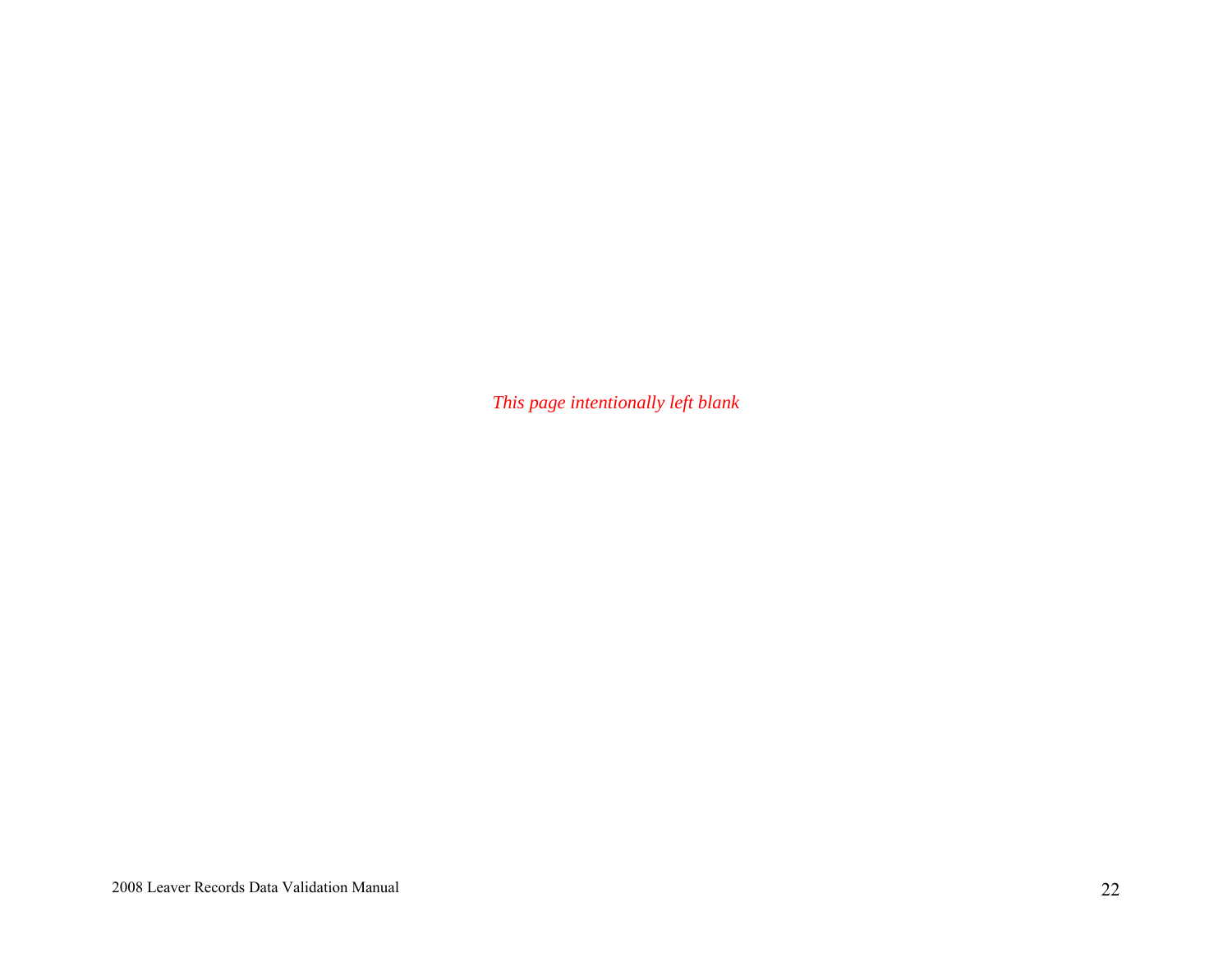*This page intentionally left blank*